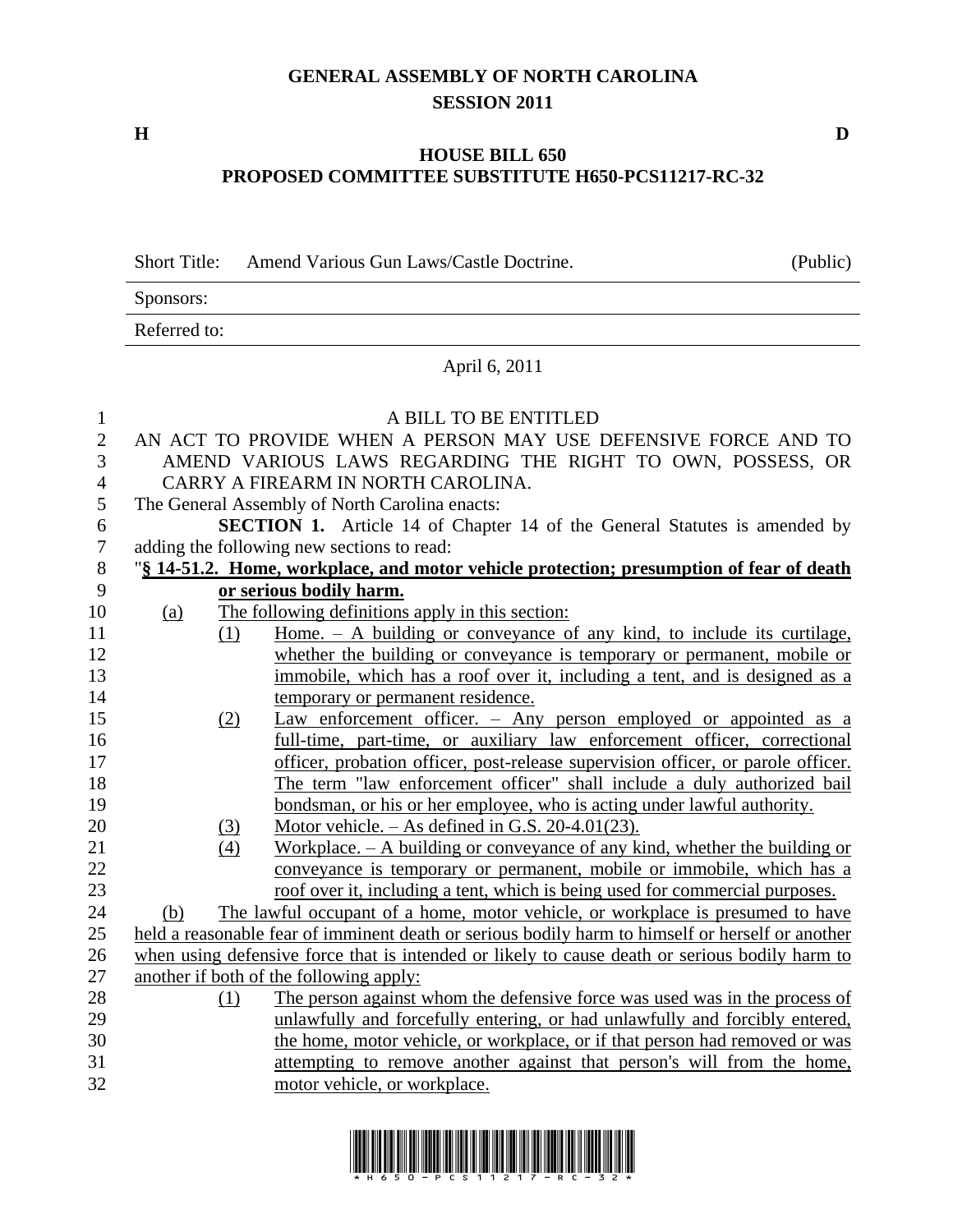## **GENERAL ASSEMBLY OF NORTH CAROLINA SESSION 2011**

**H D**

## **HOUSE BILL 650 PROPOSED COMMITTEE SUBSTITUTE H650-PCS11217-RC-32**

|                                                     | Amend Various Gun Laws/Castle Doctrine.<br><b>Short Title:</b>                                                                                                                              |     |                                                                                                                                                                                                                                                      | (Public) |  |  |
|-----------------------------------------------------|---------------------------------------------------------------------------------------------------------------------------------------------------------------------------------------------|-----|------------------------------------------------------------------------------------------------------------------------------------------------------------------------------------------------------------------------------------------------------|----------|--|--|
|                                                     | Sponsors:                                                                                                                                                                                   |     |                                                                                                                                                                                                                                                      |          |  |  |
|                                                     | Referred to:                                                                                                                                                                                |     |                                                                                                                                                                                                                                                      |          |  |  |
|                                                     |                                                                                                                                                                                             |     | April 6, 2011                                                                                                                                                                                                                                        |          |  |  |
| $\mathbf{1}$<br>$\mathbf{2}$<br>3<br>$\overline{4}$ | A BILL TO BE ENTITLED<br>AN ACT TO PROVIDE WHEN A PERSON MAY USE DEFENSIVE FORCE AND TO<br>AMEND VARIOUS LAWS REGARDING THE RIGHT TO OWN, POSSESS, OR<br>CARRY A FIREARM IN NORTH CAROLINA. |     |                                                                                                                                                                                                                                                      |          |  |  |
| $\mathfrak{S}$                                      |                                                                                                                                                                                             |     | The General Assembly of North Carolina enacts:                                                                                                                                                                                                       |          |  |  |
| 6<br>7                                              |                                                                                                                                                                                             |     | SECTION 1. Article 14 of Chapter 14 of the General Statutes is amended by<br>adding the following new sections to read:                                                                                                                              |          |  |  |
| 8                                                   |                                                                                                                                                                                             |     | "§ 14-51.2. Home, workplace, and motor vehicle protection; presumption of fear of death                                                                                                                                                              |          |  |  |
| 9                                                   |                                                                                                                                                                                             |     | or serious bodily harm.                                                                                                                                                                                                                              |          |  |  |
| 10                                                  | (a)                                                                                                                                                                                         |     | The following definitions apply in this section:                                                                                                                                                                                                     |          |  |  |
| 11<br>12<br>13                                      |                                                                                                                                                                                             | (1) | <u>Home. <math>-</math> A building or conveyance of any kind, to include its curtilage,</u><br>whether the building or conveyance is temporary or permanent, mobile or<br>immobile, which has a roof over it, including a tent, and is designed as a |          |  |  |
| 14<br>15                                            |                                                                                                                                                                                             |     | temporary or permanent residence.<br>$Law$ enforcement officer. $-$ Any person employed or appointed as a                                                                                                                                            |          |  |  |
| 16                                                  |                                                                                                                                                                                             | (2) | full-time, part-time, or auxiliary law enforcement officer, correctional                                                                                                                                                                             |          |  |  |
| 17                                                  |                                                                                                                                                                                             |     | officer, probation officer, post-release supervision officer, or parole officer.                                                                                                                                                                     |          |  |  |
| 18                                                  |                                                                                                                                                                                             |     | The term "law enforcement officer" shall include a duly authorized bail                                                                                                                                                                              |          |  |  |
| 19                                                  |                                                                                                                                                                                             |     | bondsman, or his or her employee, who is acting under lawful authority.                                                                                                                                                                              |          |  |  |
| 20                                                  |                                                                                                                                                                                             | (3) | Motor vehicle. $-$ As defined in G.S. 20-4.01(23).                                                                                                                                                                                                   |          |  |  |
| 21                                                  |                                                                                                                                                                                             | (4) | <u>Workplace. <math>-</math> A building or conveyance of any kind, whether the building or</u>                                                                                                                                                       |          |  |  |
| 22<br>23                                            |                                                                                                                                                                                             |     | conveyance is temporary or permanent, mobile or immobile, which has a<br>roof over it, including a tent, which is being used for commercial purposes.                                                                                                |          |  |  |
| 24                                                  | (b)                                                                                                                                                                                         |     | The lawful occupant of a home, motor vehicle, or workplace is presumed to have                                                                                                                                                                       |          |  |  |
| 25                                                  |                                                                                                                                                                                             |     | held a reasonable fear of imminent death or serious bodily harm to himself or herself or another                                                                                                                                                     |          |  |  |
| 26                                                  |                                                                                                                                                                                             |     | when using defensive force that is intended or likely to cause death or serious bodily harm to                                                                                                                                                       |          |  |  |
| 27                                                  |                                                                                                                                                                                             |     | another if both of the following apply:                                                                                                                                                                                                              |          |  |  |
| 28                                                  |                                                                                                                                                                                             | (1) | The person against whom the defensive force was used was in the process of                                                                                                                                                                           |          |  |  |
| 29                                                  |                                                                                                                                                                                             |     | unlawfully and forcefully entering, or had unlawfully and forcibly entered,                                                                                                                                                                          |          |  |  |
| 30                                                  |                                                                                                                                                                                             |     | the home, motor vehicle, or workplace, or if that person had removed or was                                                                                                                                                                          |          |  |  |
| 31                                                  |                                                                                                                                                                                             |     | attempting to remove another against that person's will from the home,                                                                                                                                                                               |          |  |  |
| 32                                                  |                                                                                                                                                                                             |     | motor vehicle, or workplace.                                                                                                                                                                                                                         |          |  |  |

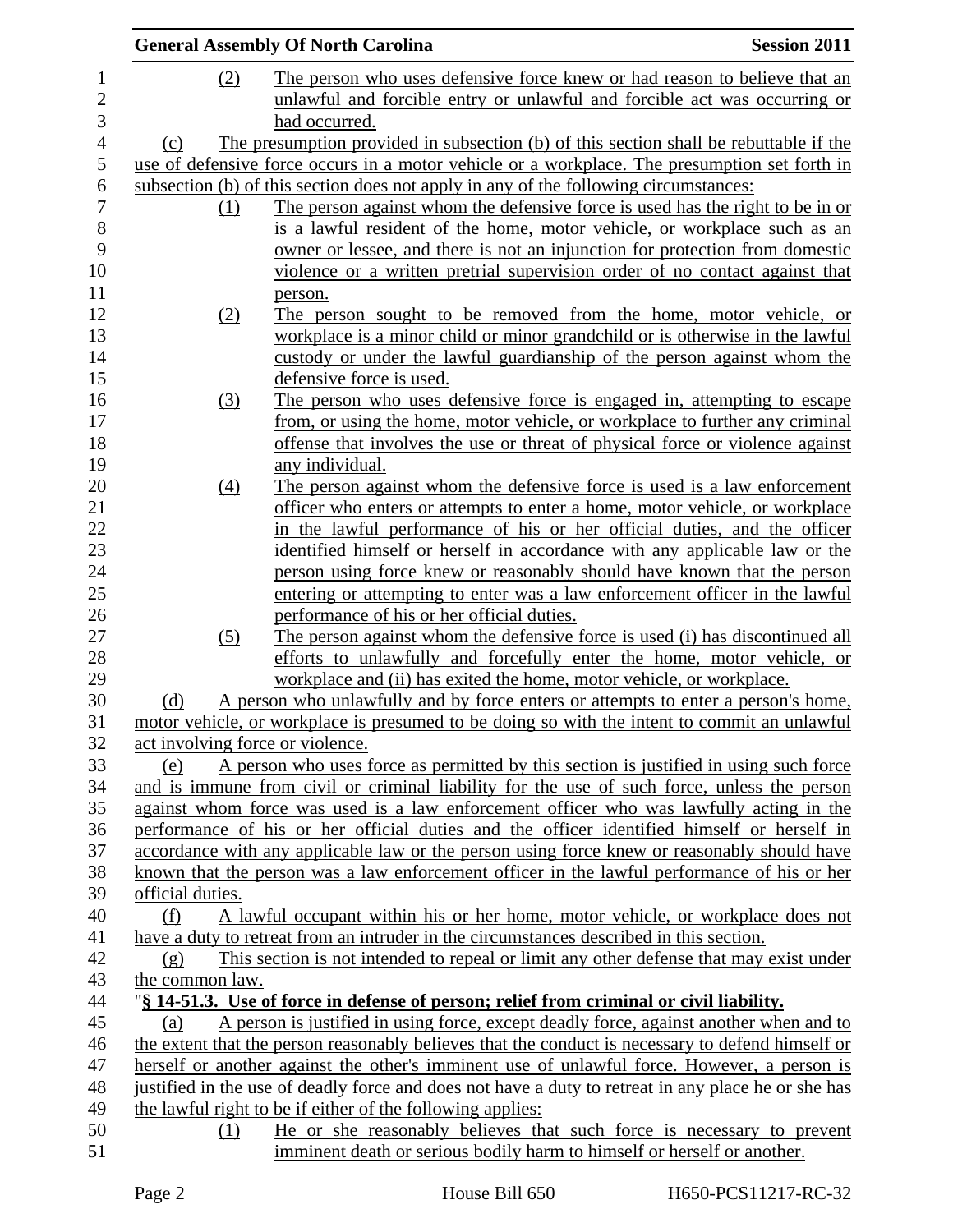|                |                         |                  | <b>General Assembly Of North Carolina</b>                                                                                                                                 | <b>Session 2011</b> |
|----------------|-------------------------|------------------|---------------------------------------------------------------------------------------------------------------------------------------------------------------------------|---------------------|
|                |                         | (2)              | The person who uses defensive force knew or had reason to believe that an                                                                                                 |                     |
| $\overline{c}$ |                         |                  | unlawful and forcible entry or unlawful and forcible act was occurring or                                                                                                 |                     |
| 3              |                         |                  | had occurred.                                                                                                                                                             |                     |
| $\overline{4}$ | (c)                     |                  | The presumption provided in subsection (b) of this section shall be rebuttable if the                                                                                     |                     |
|                |                         |                  | use of defensive force occurs in a motor vehicle or a workplace. The presumption set forth in                                                                             |                     |
|                |                         |                  | subsection (b) of this section does not apply in any of the following circumstances:                                                                                      |                     |
|                |                         | (1)              | The person against whom the defensive force is used has the right to be in or                                                                                             |                     |
|                |                         |                  | is a lawful resident of the home, motor vehicle, or workplace such as an                                                                                                  |                     |
|                |                         |                  | owner or lessee, and there is not an injunction for protection from domestic                                                                                              |                     |
|                |                         |                  | violence or a written pretrial supervision order of no contact against that                                                                                               |                     |
|                |                         |                  | person.                                                                                                                                                                   |                     |
|                |                         | (2)              | The person sought to be removed from the home, motor vehicle, or                                                                                                          |                     |
|                |                         |                  | workplace is a minor child or minor grandchild or is otherwise in the lawful                                                                                              |                     |
|                |                         |                  | custody or under the lawful guardianship of the person against whom the                                                                                                   |                     |
|                |                         |                  | defensive force is used.                                                                                                                                                  |                     |
|                |                         | (3)              | The person who uses defensive force is engaged in, attempting to escape                                                                                                   |                     |
|                |                         |                  | from, or using the home, motor vehicle, or workplace to further any criminal                                                                                              |                     |
|                |                         |                  | offense that involves the use or threat of physical force or violence against                                                                                             |                     |
|                |                         |                  | any individual.                                                                                                                                                           |                     |
|                |                         | $\left(4\right)$ | The person against whom the defensive force is used is a law enforcement<br>officer who enters or attempts to enter a home, motor vehicle, or workplace                   |                     |
|                |                         |                  | in the lawful performance of his or her official duties, and the officer                                                                                                  |                     |
|                |                         |                  | identified himself or herself in accordance with any applicable law or the                                                                                                |                     |
|                |                         |                  | person using force knew or reasonably should have known that the person                                                                                                   |                     |
|                |                         |                  | entering or attempting to enter was a law enforcement officer in the lawful                                                                                               |                     |
|                |                         |                  | performance of his or her official duties.                                                                                                                                |                     |
|                |                         | (5)              | The person against whom the defensive force is used (i) has discontinued all                                                                                              |                     |
|                |                         |                  | efforts to unlawfully and forcefully enter the home, motor vehicle, or                                                                                                    |                     |
|                |                         |                  | workplace and (ii) has exited the home, motor vehicle, or workplace.                                                                                                      |                     |
|                | (d)                     |                  | A person who unlawfully and by force enters or attempts to enter a person's home,                                                                                         |                     |
|                |                         |                  | motor vehicle, or workplace is presumed to be doing so with the intent to commit an unlawful                                                                              |                     |
|                |                         |                  | act involving force or violence.                                                                                                                                          |                     |
|                | (e)                     |                  | A person who uses force as permitted by this section is justified in using such force                                                                                     |                     |
|                |                         |                  | and is immune from civil or criminal liability for the use of such force, unless the person                                                                               |                     |
|                |                         |                  | against whom force was used is a law enforcement officer who was lawfully acting in the                                                                                   |                     |
|                |                         |                  | performance of his or her official duties and the officer identified himself or herself in                                                                                |                     |
|                |                         |                  | accordance with any applicable law or the person using force knew or reasonably should have                                                                               |                     |
|                |                         |                  | known that the person was a law enforcement officer in the lawful performance of his or her                                                                               |                     |
|                | official duties.<br>(f) |                  |                                                                                                                                                                           |                     |
|                |                         |                  | A lawful occupant within his or her home, motor vehicle, or workplace does not<br>have a duty to retreat from an intruder in the circumstances described in this section. |                     |
|                | (g)                     |                  | This section is not intended to repeal or limit any other defense that may exist under                                                                                    |                     |
|                | the common law.         |                  |                                                                                                                                                                           |                     |
|                |                         |                  | "\\$ 14-51.3. Use of force in defense of person; relief from criminal or civil liability.                                                                                 |                     |
|                | (a)                     |                  | A person is justified in using force, except deadly force, against another when and to                                                                                    |                     |
|                |                         |                  | the extent that the person reasonably believes that the conduct is necessary to defend himself or                                                                         |                     |
|                |                         |                  | herself or another against the other's imminent use of unlawful force. However, a person is                                                                               |                     |
|                |                         |                  | justified in the use of deadly force and does not have a duty to retreat in any place he or she has                                                                       |                     |
|                |                         |                  | the lawful right to be if either of the following applies:                                                                                                                |                     |
|                |                         | (1)              | He or she reasonably believes that such force is necessary to prevent                                                                                                     |                     |
|                |                         |                  | imminent death or serious bodily harm to himself or herself or another.                                                                                                   |                     |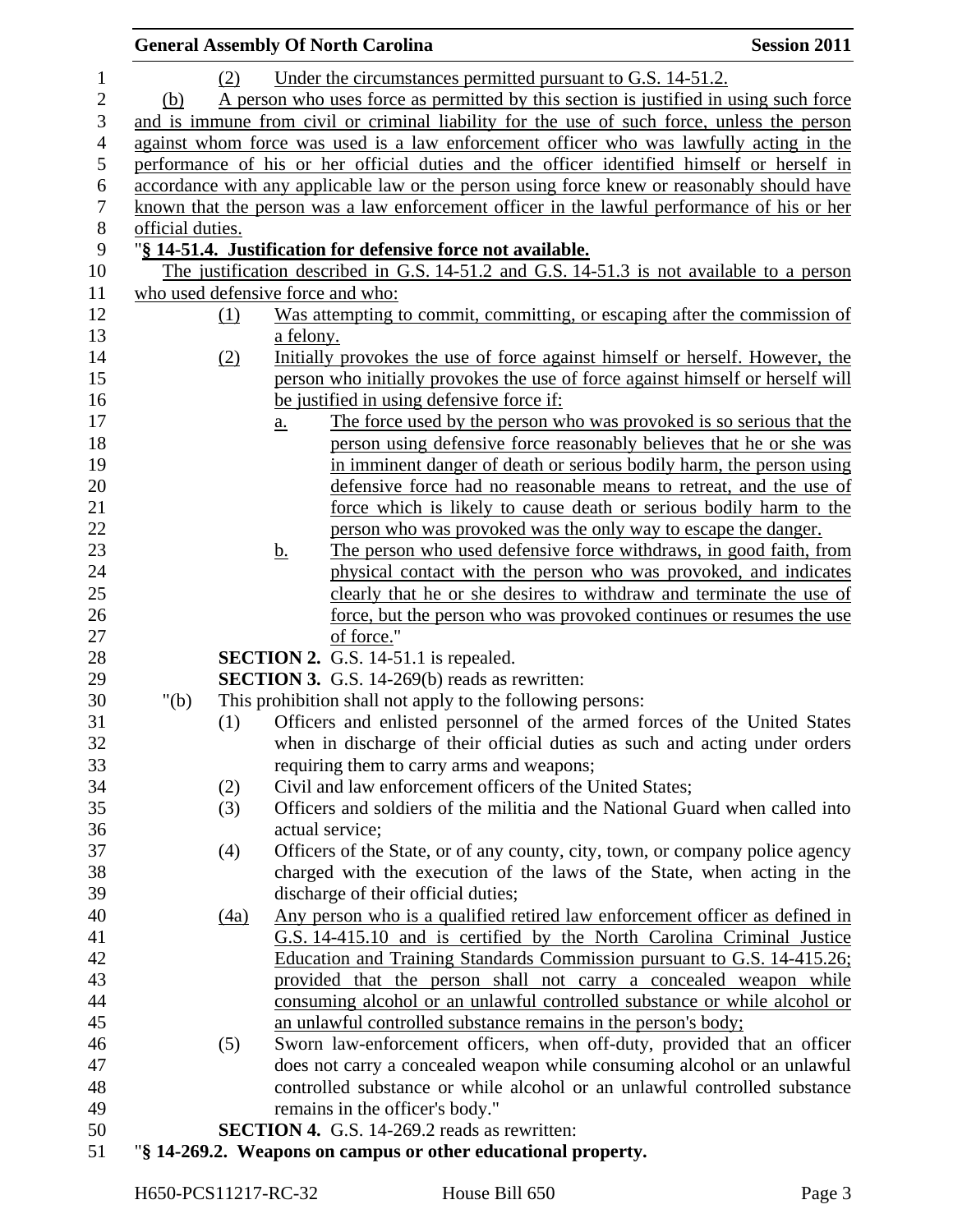|                  | <b>General Assembly Of North Carolina</b>                                                    |      |                   |                                                                                                                      | <b>Session 2011</b> |
|------------------|----------------------------------------------------------------------------------------------|------|-------------------|----------------------------------------------------------------------------------------------------------------------|---------------------|
| $\mathbf{1}$     |                                                                                              | (2)  |                   | Under the circumstances permitted pursuant to G.S. 14-51.2.                                                          |                     |
| $\overline{c}$   | A person who uses force as permitted by this section is justified in using such force<br>(b) |      |                   |                                                                                                                      |                     |
| 3                | and is immune from civil or criminal liability for the use of such force, unless the person  |      |                   |                                                                                                                      |                     |
| $\overline{4}$   |                                                                                              |      |                   | against whom force was used is a law enforcement officer who was lawfully acting in the                              |                     |
| 5                |                                                                                              |      |                   | performance of his or her official duties and the officer identified himself or herself in                           |                     |
| 6                |                                                                                              |      |                   | accordance with any applicable law or the person using force knew or reasonably should have                          |                     |
| $\boldsymbol{7}$ |                                                                                              |      |                   | known that the person was a law enforcement officer in the lawful performance of his or her                          |                     |
| $8\,$            | official duties.                                                                             |      |                   |                                                                                                                      |                     |
| 9                |                                                                                              |      |                   | "§ 14-51.4. Justification for defensive force not available.                                                         |                     |
| 10               |                                                                                              |      |                   | The justification described in G.S. 14-51.2 and G.S. 14-51.3 is not available to a person                            |                     |
| 11               |                                                                                              |      |                   | who used defensive force and who:                                                                                    |                     |
| 12               |                                                                                              | (1)  |                   | Was attempting to commit, committing, or escaping after the commission of                                            |                     |
| 13               |                                                                                              |      | a felony.         |                                                                                                                      |                     |
| 14               |                                                                                              | (2)  |                   | Initially provokes the use of force against himself or herself. However, the                                         |                     |
| 15               |                                                                                              |      |                   | person who initially provokes the use of force against himself or herself will                                       |                     |
| 16<br>17         |                                                                                              |      |                   | be justified in using defensive force if:<br>The force used by the person who was provoked is so serious that the    |                     |
| 18               |                                                                                              |      | $\underline{a}$ . | person using defensive force reasonably believes that he or she was                                                  |                     |
| 19               |                                                                                              |      |                   | in imminent danger of death or serious bodily harm, the person using                                                 |                     |
| 20               |                                                                                              |      |                   | defensive force had no reasonable means to retreat, and the use of                                                   |                     |
| 21               |                                                                                              |      |                   | force which is likely to cause death or serious bodily harm to the                                                   |                     |
| 22               |                                                                                              |      |                   | person who was provoked was the only way to escape the danger.                                                       |                     |
| 23               |                                                                                              |      | <u>b.</u>         | The person who used defensive force withdraws, in good faith, from                                                   |                     |
| 24               |                                                                                              |      |                   | physical contact with the person who was provoked, and indicates                                                     |                     |
| 25               |                                                                                              |      |                   | clearly that he or she desires to withdraw and terminate the use of                                                  |                     |
| 26               |                                                                                              |      |                   | force, but the person who was provoked continues or resumes the use                                                  |                     |
| 27               |                                                                                              |      |                   | of force."                                                                                                           |                     |
| 28               |                                                                                              |      |                   | <b>SECTION 2.</b> G.S. 14-51.1 is repealed.                                                                          |                     |
| 29               |                                                                                              |      |                   | <b>SECTION 3.</b> G.S. 14-269(b) reads as rewritten:                                                                 |                     |
| 30               | " $(b)$                                                                                      |      |                   | This prohibition shall not apply to the following persons:                                                           |                     |
| 31               |                                                                                              | (1)  |                   | Officers and enlisted personnel of the armed forces of the United States                                             |                     |
| 32<br>33         |                                                                                              |      |                   | when in discharge of their official duties as such and acting under orders                                           |                     |
| 34               |                                                                                              | (2)  |                   | requiring them to carry arms and weapons;<br>Civil and law enforcement officers of the United States;                |                     |
| 35               |                                                                                              | (3)  |                   | Officers and soldiers of the militia and the National Guard when called into                                         |                     |
| 36               |                                                                                              |      |                   | actual service;                                                                                                      |                     |
| 37               |                                                                                              | (4)  |                   | Officers of the State, or of any county, city, town, or company police agency                                        |                     |
| 38               |                                                                                              |      |                   | charged with the execution of the laws of the State, when acting in the                                              |                     |
| 39               |                                                                                              |      |                   | discharge of their official duties;                                                                                  |                     |
| 40               |                                                                                              | (4a) |                   | Any person who is a qualified retired law enforcement officer as defined in                                          |                     |
| 41               |                                                                                              |      |                   | G.S. 14-415.10 and is certified by the North Carolina Criminal Justice                                               |                     |
| 42               |                                                                                              |      |                   | Education and Training Standards Commission pursuant to G.S. 14-415.26;                                              |                     |
| 43               |                                                                                              |      |                   | provided that the person shall not carry a concealed weapon while                                                    |                     |
| 44               |                                                                                              |      |                   | consuming alcohol or an unlawful controlled substance or while alcohol or                                            |                     |
| 45               |                                                                                              |      |                   | an unlawful controlled substance remains in the person's body;                                                       |                     |
| 46               |                                                                                              | (5)  |                   | Sworn law-enforcement officers, when off-duty, provided that an officer                                              |                     |
| 47               |                                                                                              |      |                   | does not carry a concealed weapon while consuming alcohol or an unlawful                                             |                     |
| 48               |                                                                                              |      |                   | controlled substance or while alcohol or an unlawful controlled substance                                            |                     |
| 49               |                                                                                              |      |                   | remains in the officer's body."                                                                                      |                     |
| 50<br>51         |                                                                                              |      |                   | <b>SECTION 4.</b> G.S. 14-269.2 reads as rewritten:<br>"§ 14-269.2. Weapons on campus or other educational property. |                     |
|                  |                                                                                              |      |                   |                                                                                                                      |                     |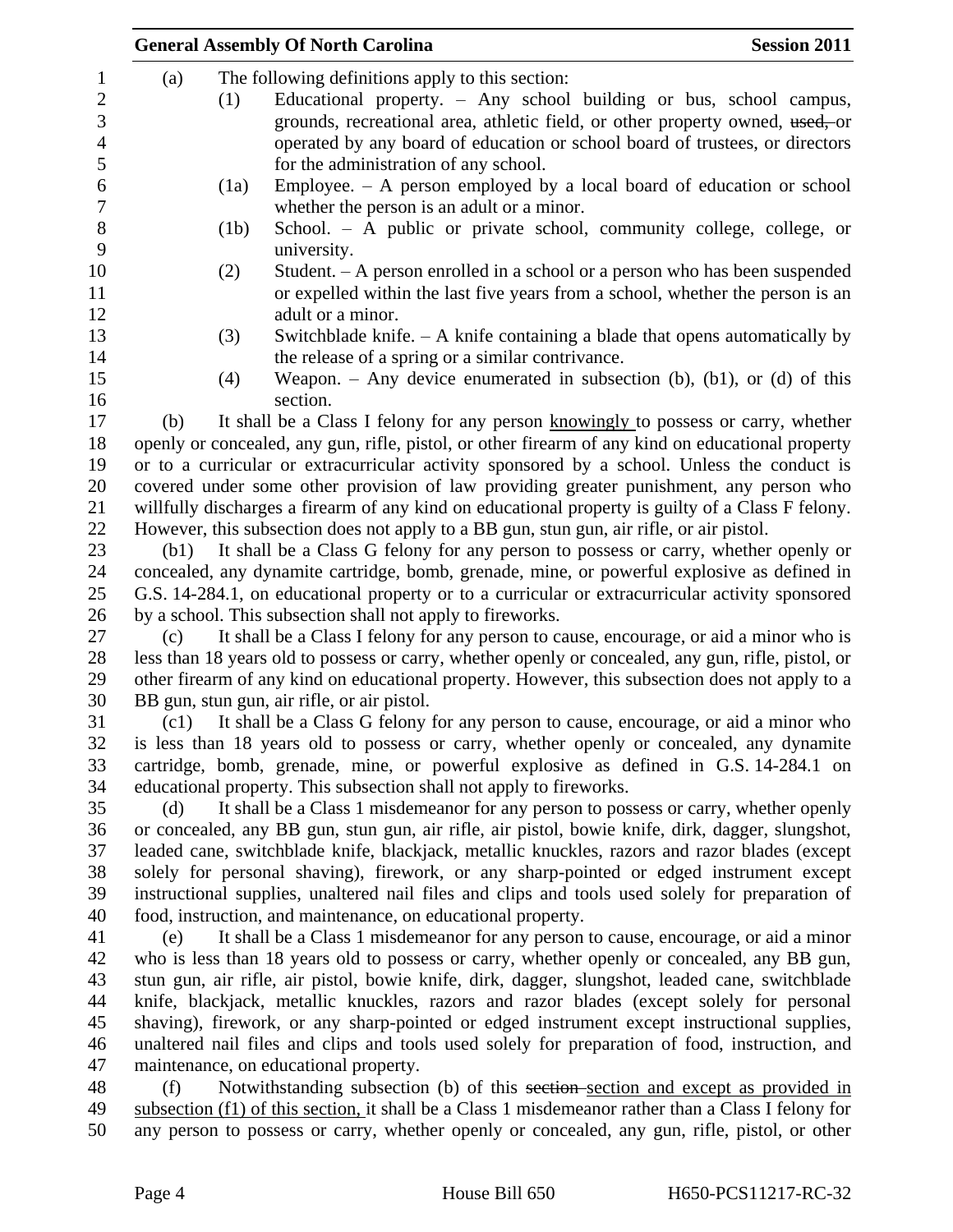|                                                                                               |      | <b>General Assembly Of North Carolina</b>                                                           | <b>Session 2011</b> |
|-----------------------------------------------------------------------------------------------|------|-----------------------------------------------------------------------------------------------------|---------------------|
| (a)                                                                                           |      | The following definitions apply to this section:                                                    |                     |
|                                                                                               | (1)  | Educational property. - Any school building or bus, school campus,                                  |                     |
|                                                                                               |      | grounds, recreational area, athletic field, or other property owned, used, or                       |                     |
|                                                                                               |      | operated by any board of education or school board of trustees, or directors                        |                     |
|                                                                                               |      | for the administration of any school.                                                               |                     |
|                                                                                               | (1a) | Employee. $-$ A person employed by a local board of education or school                             |                     |
|                                                                                               |      | whether the person is an adult or a minor.                                                          |                     |
|                                                                                               | (1b) | School. - A public or private school, community college, college, or                                |                     |
|                                                                                               |      | university.                                                                                         |                     |
|                                                                                               | (2)  | Student. – A person enrolled in a school or a person who has been suspended                         |                     |
|                                                                                               |      | or expelled within the last five years from a school, whether the person is an                      |                     |
|                                                                                               |      | adult or a minor.                                                                                   |                     |
|                                                                                               | (3)  | Switchblade knife. $- A$ knife containing a blade that opens automatically by                       |                     |
|                                                                                               |      | the release of a spring or a similar contrivance.                                                   |                     |
|                                                                                               | (4)  | Weapon. – Any device enumerated in subsection $(b)$ , $(b1)$ , or $(d)$ of this                     |                     |
|                                                                                               |      | section.                                                                                            |                     |
| (b)                                                                                           |      | It shall be a Class I felony for any person knowingly to possess or carry, whether                  |                     |
|                                                                                               |      | openly or concealed, any gun, rifle, pistol, or other firearm of any kind on educational property   |                     |
|                                                                                               |      | or to a curricular or extracurricular activity sponsored by a school. Unless the conduct is         |                     |
|                                                                                               |      | covered under some other provision of law providing greater punishment, any person who              |                     |
|                                                                                               |      | willfully discharges a firearm of any kind on educational property is guilty of a Class F felony.   |                     |
|                                                                                               |      | However, this subsection does not apply to a BB gun, stun gun, air rifle, or air pistol.            |                     |
| (b1)                                                                                          |      | It shall be a Class G felony for any person to possess or carry, whether openly or                  |                     |
|                                                                                               |      | concealed, any dynamite cartridge, bomb, grenade, mine, or powerful explosive as defined in         |                     |
|                                                                                               |      | G.S. 14-284.1, on educational property or to a curricular or extracurricular activity sponsored     |                     |
|                                                                                               |      | by a school. This subsection shall not apply to fireworks.                                          |                     |
| (c)                                                                                           |      | It shall be a Class I felony for any person to cause, encourage, or aid a minor who is              |                     |
|                                                                                               |      | less than 18 years old to possess or carry, whether openly or concealed, any gun, rifle, pistol, or |                     |
|                                                                                               |      | other firearm of any kind on educational property. However, this subsection does not apply to a     |                     |
|                                                                                               |      | BB gun, stun gun, air rifle, or air pistol.                                                         |                     |
| (c1)                                                                                          |      | It shall be a Class G felony for any person to cause, encourage, or aid a minor who                 |                     |
|                                                                                               |      | is less than 18 years old to possess or carry, whether openly or concealed, any dynamite            |                     |
|                                                                                               |      | cartridge, bomb, grenade, mine, or powerful explosive as defined in G.S. 14-284.1 on                |                     |
|                                                                                               |      | educational property. This subsection shall not apply to fireworks.                                 |                     |
| (d)                                                                                           |      | It shall be a Class 1 misdemeanor for any person to possess or carry, whether openly                |                     |
|                                                                                               |      | or concealed, any BB gun, stun gun, air rifle, air pistol, bowie knife, dirk, dagger, slungshot,    |                     |
|                                                                                               |      | leaded cane, switchblade knife, blackjack, metallic knuckles, razors and razor blades (except       |                     |
|                                                                                               |      | solely for personal shaving), firework, or any sharp-pointed or edged instrument except             |                     |
|                                                                                               |      | instructional supplies, unaltered nail files and clips and tools used solely for preparation of     |                     |
|                                                                                               |      | food, instruction, and maintenance, on educational property.                                        |                     |
| It shall be a Class 1 misdemean or for any person to cause, encourage, or aid a minor<br>(e)  |      |                                                                                                     |                     |
|                                                                                               |      | who is less than 18 years old to possess or carry, whether openly or concealed, any BB gun,         |                     |
|                                                                                               |      | stun gun, air rifle, air pistol, bowie knife, dirk, dagger, slungshot, leaded cane, switchblade     |                     |
|                                                                                               |      | knife, blackjack, metallic knuckles, razors and razor blades (except solely for personal            |                     |
|                                                                                               |      | shaving), firework, or any sharp-pointed or edged instrument except instructional supplies,         |                     |
|                                                                                               |      | unaltered nail files and clips and tools used solely for preparation of food, instruction, and      |                     |
|                                                                                               |      | maintenance, on educational property.                                                               |                     |
| (f)                                                                                           |      | Notwithstanding subsection (b) of this section-section and except as provided in                    |                     |
|                                                                                               |      | subsection (f1) of this section, it shall be a Class 1 misdemeanor rather than a Class I felony for |                     |
| any person to possess or carry, whether openly or concealed, any gun, rifle, pistol, or other |      |                                                                                                     |                     |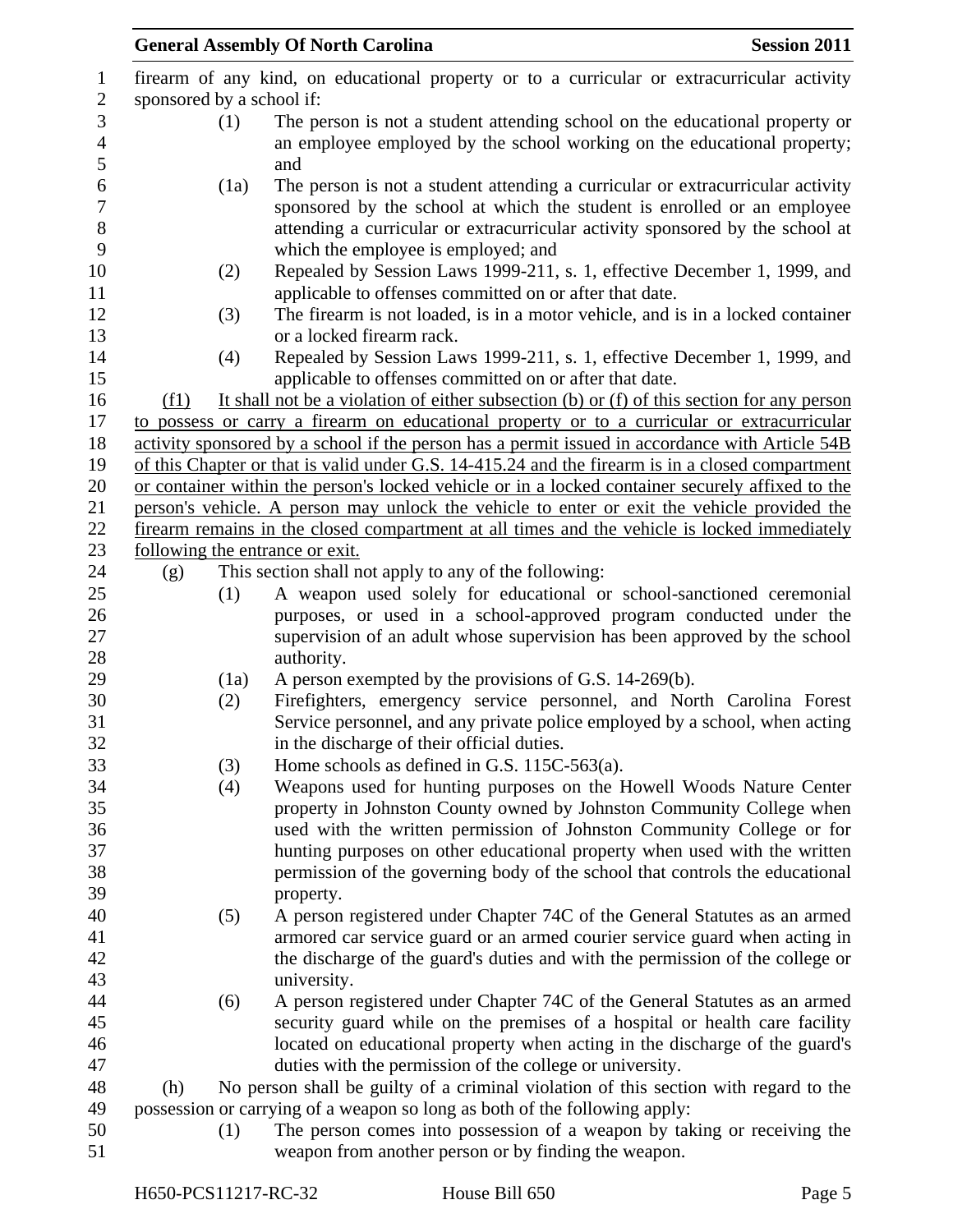| <b>Session 2011</b><br><b>General Assembly Of North Carolina</b>                                                         |      |                                                                                                                                                                                                                                                                                   |  |  |  |
|--------------------------------------------------------------------------------------------------------------------------|------|-----------------------------------------------------------------------------------------------------------------------------------------------------------------------------------------------------------------------------------------------------------------------------------|--|--|--|
| firearm of any kind, on educational property or to a curricular or extracurricular activity<br>sponsored by a school if: |      |                                                                                                                                                                                                                                                                                   |  |  |  |
|                                                                                                                          | (1)  | The person is not a student attending school on the educational property or<br>an employee employed by the school working on the educational property;<br>and                                                                                                                     |  |  |  |
|                                                                                                                          | (1a) | The person is not a student attending a curricular or extracurricular activity<br>sponsored by the school at which the student is enrolled or an employee<br>attending a curricular or extracurricular activity sponsored by the school at<br>which the employee is employed; and |  |  |  |
|                                                                                                                          | (2)  | Repealed by Session Laws 1999-211, s. 1, effective December 1, 1999, and<br>applicable to offenses committed on or after that date.                                                                                                                                               |  |  |  |
|                                                                                                                          | (3)  | The firearm is not loaded, is in a motor vehicle, and is in a locked container<br>or a locked firearm rack.                                                                                                                                                                       |  |  |  |
|                                                                                                                          | (4)  | Repealed by Session Laws 1999-211, s. 1, effective December 1, 1999, and<br>applicable to offenses committed on or after that date.                                                                                                                                               |  |  |  |
| (f1)                                                                                                                     |      | It shall not be a violation of either subsection (b) or (f) of this section for any person                                                                                                                                                                                        |  |  |  |
|                                                                                                                          |      | to possess or carry a firearm on educational property or to a curricular or extracurricular                                                                                                                                                                                       |  |  |  |
|                                                                                                                          |      | activity sponsored by a school if the person has a permit issued in accordance with Article 54B                                                                                                                                                                                   |  |  |  |
|                                                                                                                          |      | of this Chapter or that is valid under G.S. 14-415.24 and the firearm is in a closed compartment                                                                                                                                                                                  |  |  |  |
|                                                                                                                          |      | or container within the person's locked vehicle or in a locked container securely affixed to the                                                                                                                                                                                  |  |  |  |
|                                                                                                                          |      | person's vehicle. A person may unlock the vehicle to enter or exit the vehicle provided the                                                                                                                                                                                       |  |  |  |
|                                                                                                                          |      | firearm remains in the closed compartment at all times and the vehicle is locked immediately                                                                                                                                                                                      |  |  |  |
|                                                                                                                          |      | following the entrance or exit.                                                                                                                                                                                                                                                   |  |  |  |
| (g)                                                                                                                      |      | This section shall not apply to any of the following:                                                                                                                                                                                                                             |  |  |  |
|                                                                                                                          | (1)  | A weapon used solely for educational or school-sanctioned ceremonial                                                                                                                                                                                                              |  |  |  |
|                                                                                                                          |      | purposes, or used in a school-approved program conducted under the                                                                                                                                                                                                                |  |  |  |
|                                                                                                                          |      | supervision of an adult whose supervision has been approved by the school                                                                                                                                                                                                         |  |  |  |
|                                                                                                                          |      | authority.                                                                                                                                                                                                                                                                        |  |  |  |
|                                                                                                                          | (1a) | A person exempted by the provisions of G.S. 14-269(b).                                                                                                                                                                                                                            |  |  |  |
|                                                                                                                          | (2)  | Firefighters, emergency service personnel, and North Carolina Forest                                                                                                                                                                                                              |  |  |  |
|                                                                                                                          |      | Service personnel, and any private police employed by a school, when acting<br>in the discharge of their official duties.                                                                                                                                                         |  |  |  |
|                                                                                                                          | (3)  | Home schools as defined in G.S. $115C-563(a)$ .                                                                                                                                                                                                                                   |  |  |  |
|                                                                                                                          | (4)  | Weapons used for hunting purposes on the Howell Woods Nature Center                                                                                                                                                                                                               |  |  |  |
|                                                                                                                          |      | property in Johnston County owned by Johnston Community College when                                                                                                                                                                                                              |  |  |  |
|                                                                                                                          |      | used with the written permission of Johnston Community College or for                                                                                                                                                                                                             |  |  |  |
|                                                                                                                          |      | hunting purposes on other educational property when used with the written                                                                                                                                                                                                         |  |  |  |
|                                                                                                                          |      | permission of the governing body of the school that controls the educational                                                                                                                                                                                                      |  |  |  |
|                                                                                                                          |      | property.                                                                                                                                                                                                                                                                         |  |  |  |
|                                                                                                                          | (5)  | A person registered under Chapter 74C of the General Statutes as an armed                                                                                                                                                                                                         |  |  |  |
|                                                                                                                          |      | armored car service guard or an armed courier service guard when acting in                                                                                                                                                                                                        |  |  |  |
|                                                                                                                          |      | the discharge of the guard's duties and with the permission of the college or                                                                                                                                                                                                     |  |  |  |
|                                                                                                                          |      | university.                                                                                                                                                                                                                                                                       |  |  |  |
|                                                                                                                          | (6)  | A person registered under Chapter 74C of the General Statutes as an armed                                                                                                                                                                                                         |  |  |  |
|                                                                                                                          |      | security guard while on the premises of a hospital or health care facility                                                                                                                                                                                                        |  |  |  |
|                                                                                                                          |      | located on educational property when acting in the discharge of the guard's                                                                                                                                                                                                       |  |  |  |
|                                                                                                                          |      | duties with the permission of the college or university.                                                                                                                                                                                                                          |  |  |  |
| (h)                                                                                                                      |      | No person shall be guilty of a criminal violation of this section with regard to the                                                                                                                                                                                              |  |  |  |
|                                                                                                                          |      | possession or carrying of a weapon so long as both of the following apply:                                                                                                                                                                                                        |  |  |  |
|                                                                                                                          | (1)  | The person comes into possession of a weapon by taking or receiving the<br>weapon from another person or by finding the weapon.                                                                                                                                                   |  |  |  |
|                                                                                                                          |      |                                                                                                                                                                                                                                                                                   |  |  |  |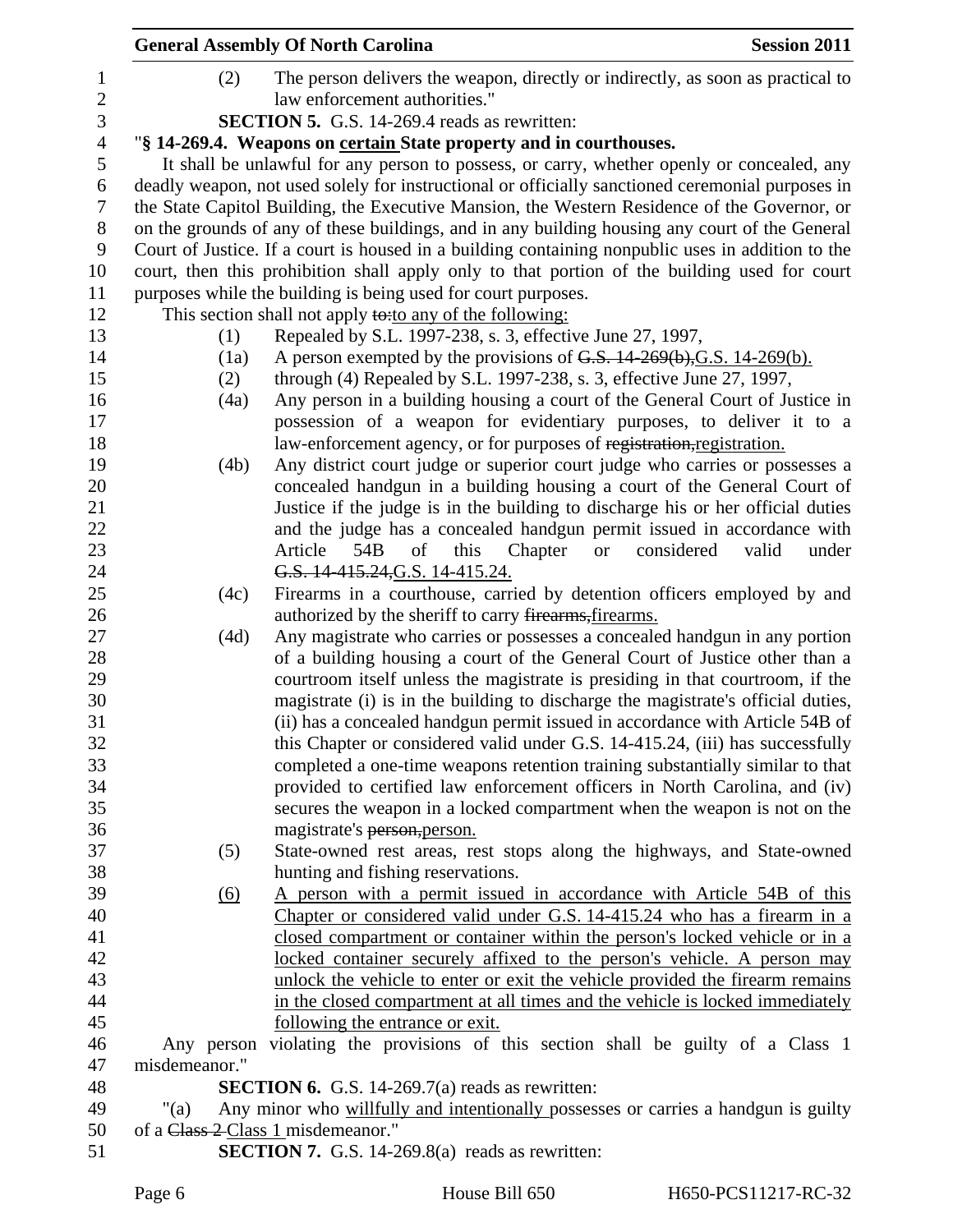|                |               | <b>General Assembly Of North Carolina</b>                                                                                                             | <b>Session 2011</b>          |
|----------------|---------------|-------------------------------------------------------------------------------------------------------------------------------------------------------|------------------------------|
| $\mathbf{1}$   | (2)           | The person delivers the weapon, directly or indirectly, as soon as practical to                                                                       |                              |
| $\overline{c}$ |               | law enforcement authorities."                                                                                                                         |                              |
| 3              |               | <b>SECTION 5.</b> G.S. 14-269.4 reads as rewritten:                                                                                                   |                              |
| $\overline{4}$ |               | "§ 14-269.4. Weapons on certain State property and in courthouses.                                                                                    |                              |
| 5              |               | It shall be unlawful for any person to possess, or carry, whether openly or concealed, any                                                            |                              |
| 6              |               | deadly weapon, not used solely for instructional or officially sanctioned ceremonial purposes in                                                      |                              |
| 7              |               | the State Capitol Building, the Executive Mansion, the Western Residence of the Governor, or                                                          |                              |
| $8\,$          |               | on the grounds of any of these buildings, and in any building housing any court of the General                                                        |                              |
| 9              |               | Court of Justice. If a court is housed in a building containing nonpublic uses in addition to the                                                     |                              |
| 10             |               | court, then this prohibition shall apply only to that portion of the building used for court                                                          |                              |
| 11             |               | purposes while the building is being used for court purposes.                                                                                         |                              |
| 12             |               | This section shall not apply to:to any of the following:                                                                                              |                              |
| 13             | (1)           | Repealed by S.L. 1997-238, s. 3, effective June 27, 1997,                                                                                             |                              |
| 14             | (1a)          | A person exempted by the provisions of G.S. 14-269(b), G.S. 14-269(b).                                                                                |                              |
| 15             | (2)           | through (4) Repealed by S.L. 1997-238, s. 3, effective June 27, 1997,                                                                                 |                              |
| 16             | (4a)          | Any person in a building housing a court of the General Court of Justice in                                                                           |                              |
| 17             |               | possession of a weapon for evidentiary purposes, to deliver it to a                                                                                   |                              |
| 18             |               | law-enforcement agency, or for purposes of registration, registration.                                                                                |                              |
| 19             | (4b)          | Any district court judge or superior court judge who carries or possesses a                                                                           |                              |
| 20             |               | concealed handgun in a building housing a court of the General Court of                                                                               |                              |
| 21             |               | Justice if the judge is in the building to discharge his or her official duties                                                                       |                              |
| 22             |               | and the judge has a concealed handgun permit issued in accordance with                                                                                |                              |
| 23             |               | Article<br>54B<br>of<br>this Chapter<br><b>or</b>                                                                                                     | considered<br>valid<br>under |
| 24             |               | G.S. 14-415.24, G.S. 14-415.24.                                                                                                                       |                              |
| 25             | (4c)          | Firearms in a courthouse, carried by detention officers employed by and                                                                               |                              |
| 26             |               | authorized by the sheriff to carry firearms, firearms.                                                                                                |                              |
| 27             | (4d)          | Any magistrate who carries or possesses a concealed handgun in any portion                                                                            |                              |
| 28             |               | of a building housing a court of the General Court of Justice other than a                                                                            |                              |
| 29             |               | courtroom itself unless the magistrate is presiding in that courtroom, if the                                                                         |                              |
| 30             |               | magistrate (i) is in the building to discharge the magistrate's official duties,                                                                      |                              |
| 31             |               | (ii) has a concealed handgun permit issued in accordance with Article 54B of                                                                          |                              |
| 32             |               | this Chapter or considered valid under G.S. 14-415.24, (iii) has successfully                                                                         |                              |
| 33             |               | completed a one-time weapons retention training substantially similar to that                                                                         |                              |
| 34             |               | provided to certified law enforcement officers in North Carolina, and (iv)                                                                            |                              |
| 35             |               | secures the weapon in a locked compartment when the weapon is not on the                                                                              |                              |
| 36             |               | magistrate's person, person.                                                                                                                          |                              |
| 37             | (5)           | State-owned rest areas, rest stops along the highways, and State-owned                                                                                |                              |
| 38             |               | hunting and fishing reservations.                                                                                                                     |                              |
| 39             | (6)           | A person with a permit issued in accordance with Article 54B of this                                                                                  |                              |
| 40             |               | Chapter or considered valid under G.S. 14-415.24 who has a firearm in a<br>closed compartment or container within the person's locked vehicle or in a |                              |
| 41<br>42       |               | locked container securely affixed to the person's vehicle. A person may                                                                               |                              |
| 43             |               | unlock the vehicle to enter or exit the vehicle provided the firearm remains                                                                          |                              |
| 44             |               | in the closed compartment at all times and the vehicle is locked immediately                                                                          |                              |
| 45             |               | <u>following the entrance or exit.</u>                                                                                                                |                              |
| 46             |               | Any person violating the provisions of this section shall be guilty of a Class 1                                                                      |                              |
| 47             | misdemeanor." |                                                                                                                                                       |                              |
| 48             |               | <b>SECTION 6.</b> G.S. 14-269.7(a) reads as rewritten:                                                                                                |                              |
| 49             | " $(a)$       | Any minor who willfully and intentionally possesses or carries a handgun is guilty                                                                    |                              |
| 50             |               | of a Class 2-Class 1 misdemeanor."                                                                                                                    |                              |
| 51             |               | <b>SECTION 7.</b> G.S. 14-269.8(a) reads as rewritten:                                                                                                |                              |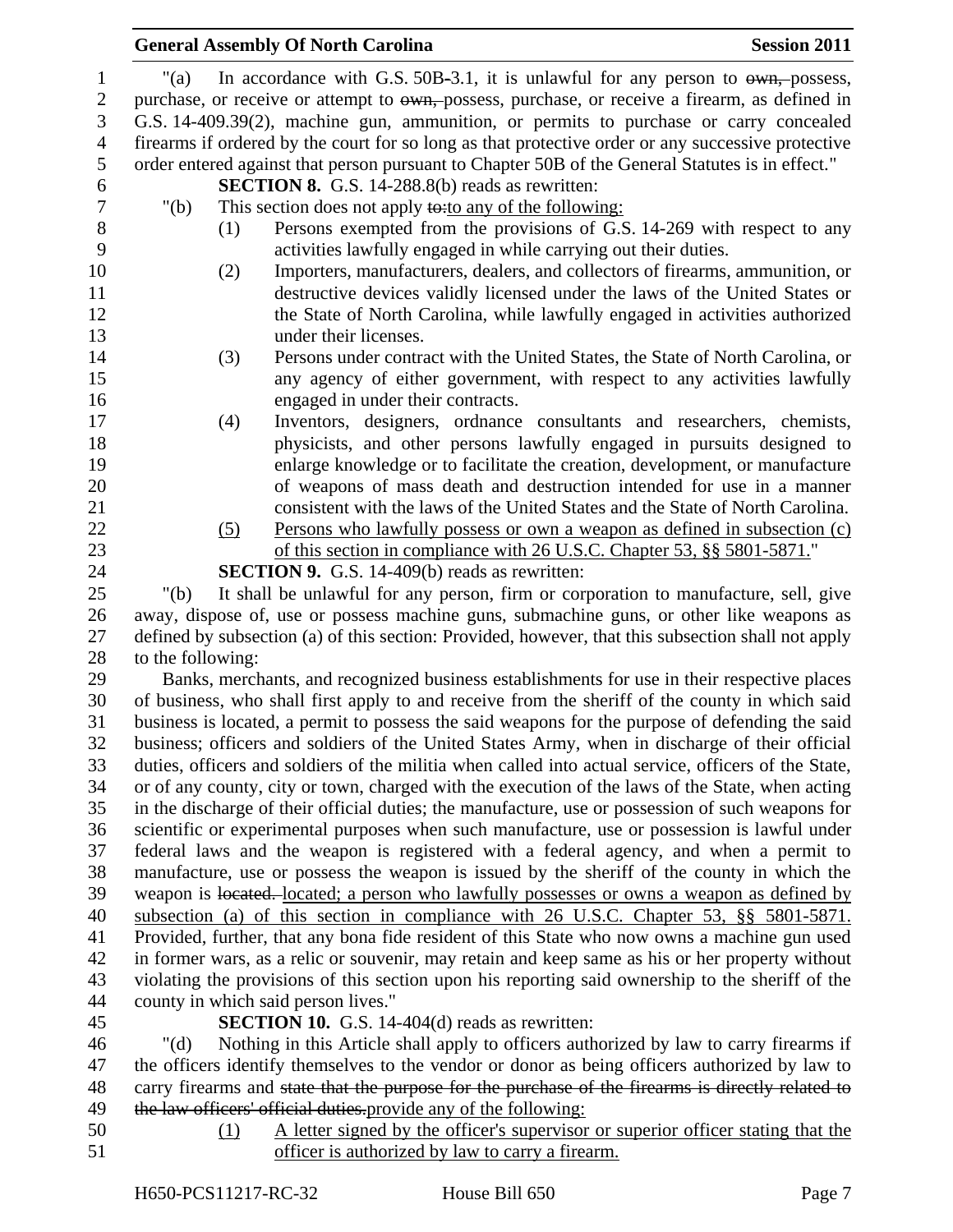|         |                   | <b>General Assembly Of North Carolina</b>                                                                    | <b>Session 2011</b> |
|---------|-------------------|--------------------------------------------------------------------------------------------------------------|---------------------|
| "(a)    |                   | In accordance with G.S. 50B-3.1, it is unlawful for any person to $\frac{\partial w}{\partial n}$ , possess, |                     |
|         |                   | purchase, or receive or attempt to own, possess, purchase, or receive a firearm, as defined in               |                     |
|         |                   | G.S. 14-409.39(2), machine gun, ammunition, or permits to purchase or carry concealed                        |                     |
|         |                   | firearms if ordered by the court for so long as that protective order or any successive protective           |                     |
|         |                   | order entered against that person pursuant to Chapter 50B of the General Statutes is in effect."             |                     |
|         |                   | <b>SECTION 8.</b> G.S. 14-288.8(b) reads as rewritten:                                                       |                     |
| " $(b)$ |                   | This section does not apply to: to any of the following:                                                     |                     |
|         | (1)               | Persons exempted from the provisions of G.S. 14-269 with respect to any                                      |                     |
|         |                   | activities lawfully engaged in while carrying out their duties.                                              |                     |
|         | (2)               | Importers, manufacturers, dealers, and collectors of firearms, ammunition, or                                |                     |
|         |                   | destructive devices validly licensed under the laws of the United States or                                  |                     |
|         |                   | the State of North Carolina, while lawfully engaged in activities authorized                                 |                     |
|         |                   | under their licenses.                                                                                        |                     |
|         | (3)               | Persons under contract with the United States, the State of North Carolina, or                               |                     |
|         |                   | any agency of either government, with respect to any activities lawfully                                     |                     |
|         |                   | engaged in under their contracts.                                                                            |                     |
|         | (4)               | Inventors, designers, ordnance consultants and researchers, chemists,                                        |                     |
|         |                   | physicists, and other persons lawfully engaged in pursuits designed to                                       |                     |
|         |                   | enlarge knowledge or to facilitate the creation, development, or manufacture                                 |                     |
|         |                   | of weapons of mass death and destruction intended for use in a manner                                        |                     |
|         |                   | consistent with the laws of the United States and the State of North Carolina.                               |                     |
|         | (5)               | Persons who lawfully possess or own a weapon as defined in subsection (c)                                    |                     |
|         |                   | of this section in compliance with 26 U.S.C. Chapter 53, §§ 5801-5871."                                      |                     |
|         |                   | <b>SECTION 9.</b> G.S. 14-409(b) reads as rewritten:                                                         |                     |
| " $(b)$ |                   | It shall be unlawful for any person, firm or corporation to manufacture, sell, give                          |                     |
|         |                   | away, dispose of, use or possess machine guns, submachine guns, or other like weapons as                     |                     |
|         |                   | defined by subsection (a) of this section: Provided, however, that this subsection shall not apply           |                     |
|         | to the following: |                                                                                                              |                     |
|         |                   | Banks, merchants, and recognized business establishments for use in their respective places                  |                     |
|         |                   | of business, who shall first apply to and receive from the sheriff of the county in which said               |                     |
|         |                   | business is located, a permit to possess the said weapons for the purpose of defending the said              |                     |
|         |                   | business; officers and soldiers of the United States Army, when in discharge of their official               |                     |
|         |                   | duties, officers and soldiers of the militia when called into actual service, officers of the State,         |                     |
|         |                   | or of any county, city or town, charged with the execution of the laws of the State, when acting             |                     |
|         |                   | in the discharge of their official duties; the manufacture, use or possession of such weapons for            |                     |
|         |                   | scientific or experimental purposes when such manufacture, use or possession is lawful under                 |                     |
|         |                   | federal laws and the weapon is registered with a federal agency, and when a permit to                        |                     |
|         |                   | manufacture, use or possess the weapon is issued by the sheriff of the county in which the                   |                     |
|         |                   | weapon is located. located; a person who lawfully possesses or owns a weapon as defined by                   |                     |
|         |                   | subsection (a) of this section in compliance with 26 U.S.C. Chapter 53, §§ 5801-5871.                        |                     |
|         |                   | Provided, further, that any bona fide resident of this State who now owns a machine gun used                 |                     |
|         |                   | in former wars, as a relic or souvenir, may retain and keep same as his or her property without              |                     |
|         |                   | violating the provisions of this section upon his reporting said ownership to the sheriff of the             |                     |
|         |                   | county in which said person lives."                                                                          |                     |
|         |                   | SECTION 10. G.S. 14-404(d) reads as rewritten:                                                               |                     |
| " $(d)$ |                   | Nothing in this Article shall apply to officers authorized by law to carry firearms if                       |                     |
|         |                   | the officers identify themselves to the vendor or donor as being officers authorized by law to               |                     |

 the officers identify themselves to the vendor or donor as being officers authorized by law to carry firearms and state that the purpose for the purchase of the firearms is directly related to 49 the law officers' official duties.provide any of the following:

- 
- (1) A letter signed by the officer's supervisor or superior officer stating that the 51 officer is authorized by law to carry a firearm.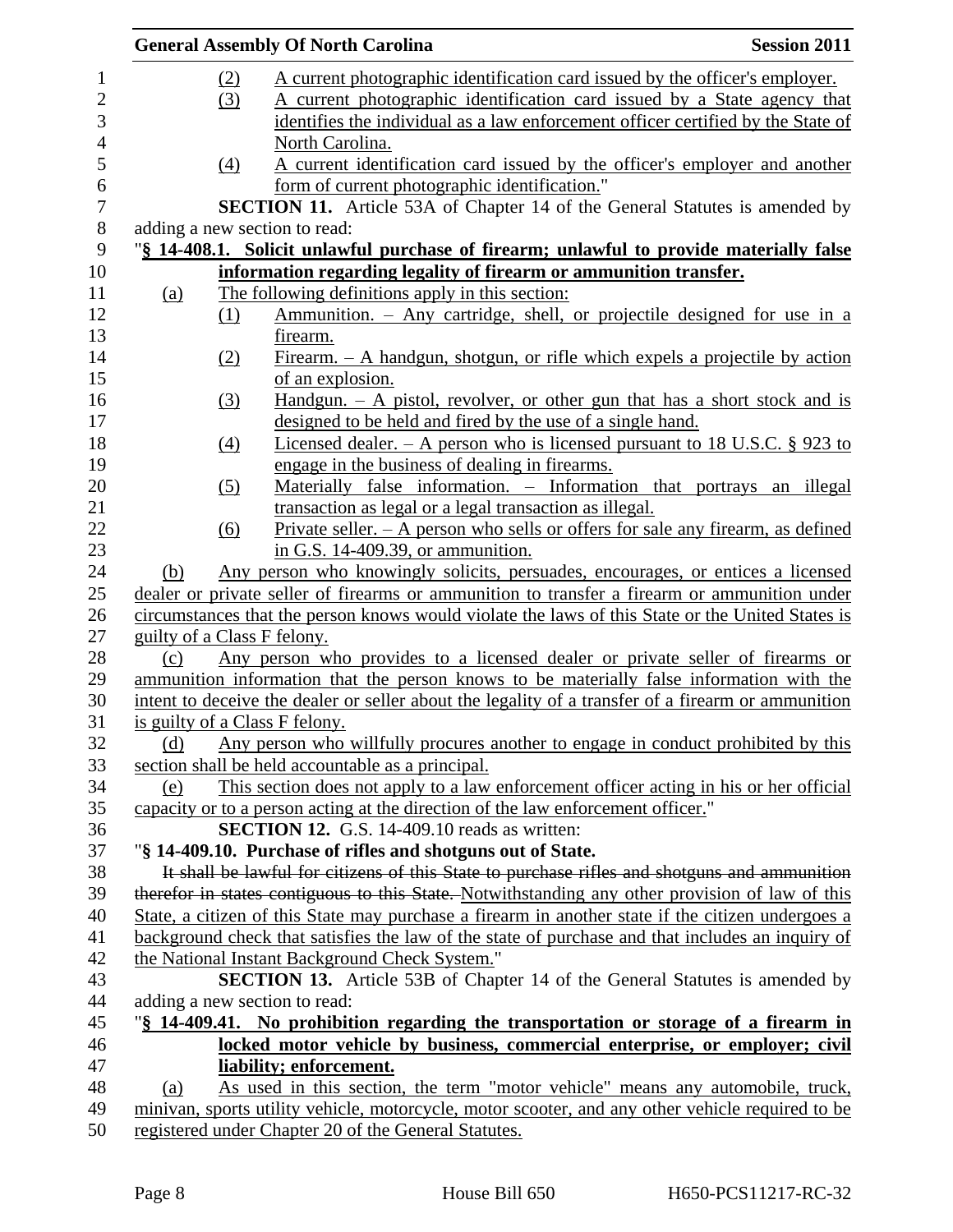|            |                  | <b>General Assembly Of North Carolina</b>                                                                                                   | <b>Session 2011</b> |
|------------|------------------|---------------------------------------------------------------------------------------------------------------------------------------------|---------------------|
|            | (2)              | A current photographic identification card issued by the officer's employer.                                                                |                     |
|            | (3)              | A current photographic identification card issued by a State agency that                                                                    |                     |
|            |                  | identifies the individual as a law enforcement officer certified by the State of                                                            |                     |
|            |                  | North Carolina.                                                                                                                             |                     |
|            | $\left(4\right)$ | A current identification card issued by the officer's employer and another                                                                  |                     |
|            |                  | form of current photographic identification."                                                                                               |                     |
|            |                  | <b>SECTION 11.</b> Article 53A of Chapter 14 of the General Statutes is amended by                                                          |                     |
|            |                  | adding a new section to read:                                                                                                               |                     |
|            |                  | "§ 14-408.1. Solicit unlawful purchase of firearm; unlawful to provide materially false                                                     |                     |
|            |                  | information regarding legality of firearm or ammunition transfer.                                                                           |                     |
| <u>(a)</u> |                  | The following definitions apply in this section:                                                                                            |                     |
|            | (1)              | Ammunition. – Any cartridge, shell, or projectile designed for use in a                                                                     |                     |
|            |                  | firearm.                                                                                                                                    |                     |
|            | (2)              | <u>Firearm. – A handgun, shotgun, or rifle which expels a projectile by action</u>                                                          |                     |
|            |                  | of an explosion.                                                                                                                            |                     |
|            | (3)              | Handgun. $-$ A pistol, revolver, or other gun that has a short stock and is                                                                 |                     |
|            |                  | designed to be held and fired by the use of a single hand.                                                                                  |                     |
|            | (4)              | Licensed dealer. $- A$ person who is licensed pursuant to 18 U.S.C. § 923 to                                                                |                     |
|            |                  | engage in the business of dealing in firearms.                                                                                              |                     |
|            | (5)              | Materially false information. - Information that portrays an illegal                                                                        |                     |
|            |                  | transaction as legal or a legal transaction as illegal.                                                                                     |                     |
|            | (6)              | Private seller. $-$ A person who sells or offers for sale any firearm, as defined                                                           |                     |
|            |                  | in G.S. 14-409.39, or ammunition.                                                                                                           |                     |
| (b)        |                  | Any person who knowingly solicits, persuades, encourages, or entices a licensed                                                             |                     |
|            |                  | dealer or private seller of firearms or ammunition to transfer a firearm or ammunition under                                                |                     |
|            |                  | circumstances that the person knows would violate the laws of this State or the United States is                                            |                     |
|            |                  | guilty of a Class F felony.                                                                                                                 |                     |
| (c)        |                  | Any person who provides to a licensed dealer or private seller of firearms or                                                               |                     |
|            |                  | ammunition information that the person knows to be materially false information with the                                                    |                     |
|            |                  | intent to deceive the dealer or seller about the legality of a transfer of a firearm or ammunition                                          |                     |
|            |                  | is guilty of a Class F felony.                                                                                                              |                     |
| (d)        |                  | Any person who willfully procures another to engage in conduct prohibited by this                                                           |                     |
|            |                  | section shall be held accountable as a principal.<br>This section does not apply to a law enforcement officer acting in his or her official |                     |
| (e)        |                  | capacity or to a person acting at the direction of the law enforcement officer."                                                            |                     |
|            |                  | <b>SECTION 12.</b> G.S. 14-409.10 reads as written:                                                                                         |                     |
|            |                  | "§ 14-409.10. Purchase of rifles and shotguns out of State.                                                                                 |                     |
|            |                  | It shall be lawful for citizens of this State to purchase rifles and shotguns and ammunition                                                |                     |
|            |                  | therefor in states contiguous to this State. Notwithstanding any other provision of law of this                                             |                     |
|            |                  | State, a citizen of this State may purchase a firearm in another state if the citizen undergoes a                                           |                     |
|            |                  | background check that satisfies the law of the state of purchase and that includes an inquiry of                                            |                     |
|            |                  | the National Instant Background Check System."                                                                                              |                     |
|            |                  | SECTION 13. Article 53B of Chapter 14 of the General Statutes is amended by                                                                 |                     |
|            |                  | adding a new section to read:                                                                                                               |                     |
|            |                  | "§ 14-409.41. No prohibition regarding the transportation or storage of a firearm in                                                        |                     |
|            |                  | locked motor vehicle by business, commercial enterprise, or employer; civil                                                                 |                     |
|            |                  | liability; enforcement.                                                                                                                     |                     |
| (a)        |                  | As used in this section, the term "motor vehicle" means any automobile, truck,                                                              |                     |
|            |                  | minivan, sports utility vehicle, motorcycle, motor scooter, and any other vehicle required to be                                            |                     |
|            |                  | registered under Chapter 20 of the General Statutes.                                                                                        |                     |
|            |                  |                                                                                                                                             |                     |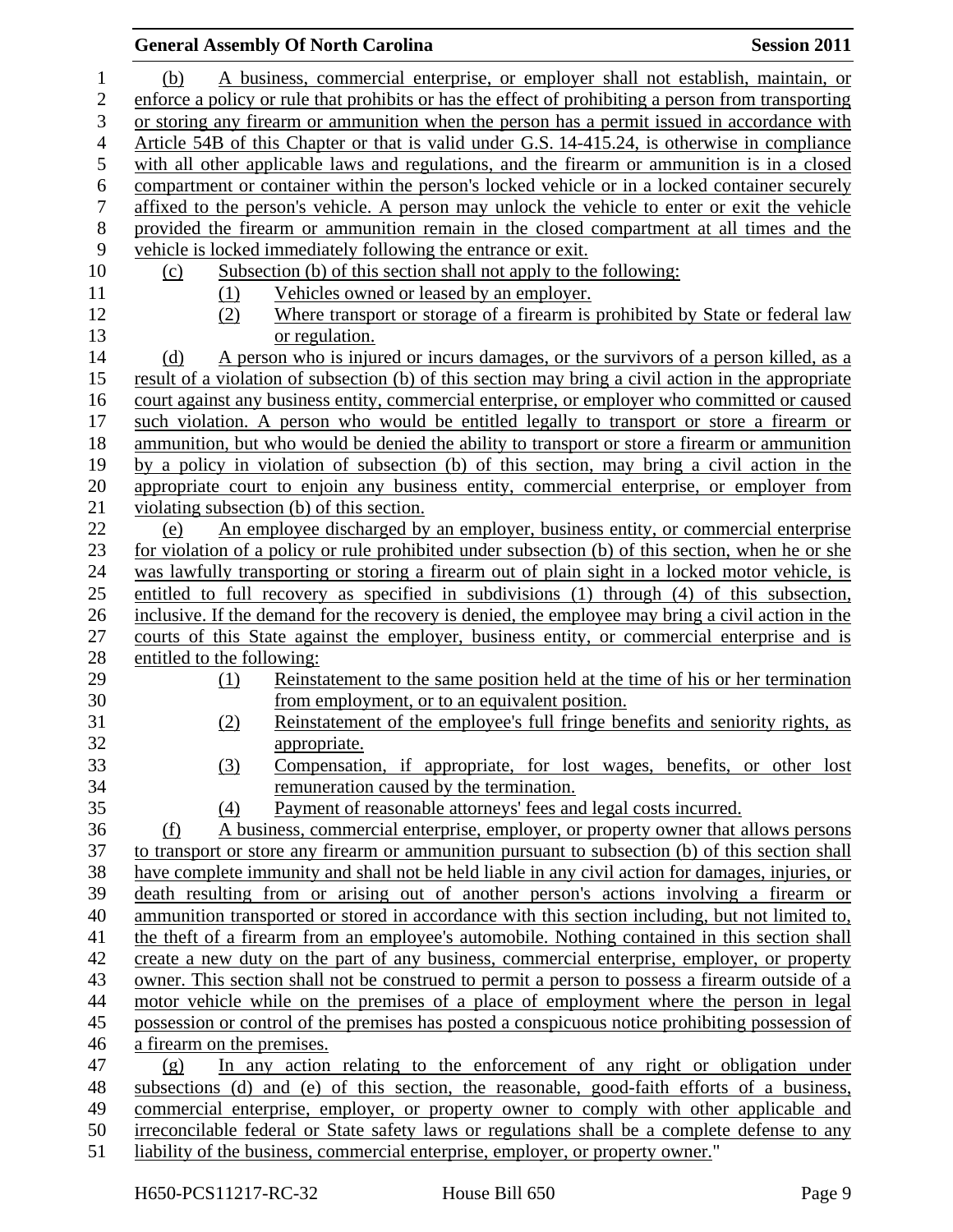|                  | <b>General Assembly Of North Carolina</b><br><b>Session 2011</b>                                    |  |  |  |  |
|------------------|-----------------------------------------------------------------------------------------------------|--|--|--|--|
| 1                | A business, commercial enterprise, or employer shall not establish, maintain, or<br>(b)             |  |  |  |  |
| $\overline{2}$   | enforce a policy or rule that prohibits or has the effect of prohibiting a person from transporting |  |  |  |  |
| 3                | or storing any firearm or ammunition when the person has a permit issued in accordance with         |  |  |  |  |
| $\overline{4}$   | Article 54B of this Chapter or that is valid under G.S. 14-415.24, is otherwise in compliance       |  |  |  |  |
| 5                | with all other applicable laws and regulations, and the firearm or ammunition is in a closed        |  |  |  |  |
| 6                | compartment or container within the person's locked vehicle or in a locked container securely       |  |  |  |  |
| $\boldsymbol{7}$ | affixed to the person's vehicle. A person may unlock the vehicle to enter or exit the vehicle       |  |  |  |  |
| $8\,$            | provided the firearm or ammunition remain in the closed compartment at all times and the            |  |  |  |  |
| 9                | vehicle is locked immediately following the entrance or exit.                                       |  |  |  |  |
| 10               | Subsection (b) of this section shall not apply to the following:<br>(c)                             |  |  |  |  |
| 11               | Vehicles owned or leased by an employer.<br>(1)                                                     |  |  |  |  |
| 12               | Where transport or storage of a firearm is prohibited by State or federal law<br>(2)                |  |  |  |  |
| 13               | or regulation.                                                                                      |  |  |  |  |
| 14               | A person who is injured or incurs damages, or the survivors of a person killed, as a                |  |  |  |  |
|                  | (d)                                                                                                 |  |  |  |  |
| 15               | result of a violation of subsection (b) of this section may bring a civil action in the appropriate |  |  |  |  |
| 16               | court against any business entity, commercial enterprise, or employer who committed or caused       |  |  |  |  |
| 17               | such violation. A person who would be entitled legally to transport or store a firearm or           |  |  |  |  |
| 18               | ammunition, but who would be denied the ability to transport or store a firearm or ammunition       |  |  |  |  |
| 19               | by a policy in violation of subsection (b) of this section, may bring a civil action in the         |  |  |  |  |
| 20               | appropriate court to enjoin any business entity, commercial enterprise, or employer from            |  |  |  |  |
| 21               | violating subsection (b) of this section.                                                           |  |  |  |  |
| 22               | An employee discharged by an employer, business entity, or commercial enterprise<br>(e)             |  |  |  |  |
| 23               | for violation of a policy or rule prohibited under subsection (b) of this section, when he or she   |  |  |  |  |
| 24               | was lawfully transporting or storing a firearm out of plain sight in a locked motor vehicle, is     |  |  |  |  |
| 25               | entitled to full recovery as specified in subdivisions (1) through (4) of this subsection,          |  |  |  |  |
| 26               | inclusive. If the demand for the recovery is denied, the employee may bring a civil action in the   |  |  |  |  |
| 27               | courts of this State against the employer, business entity, or commercial enterprise and is         |  |  |  |  |
| 28               | entitled to the following:                                                                          |  |  |  |  |
| 29               | Reinstatement to the same position held at the time of his or her termination<br>(1)                |  |  |  |  |
| 30               | from employment, or to an equivalent position.                                                      |  |  |  |  |
| 31               | Reinstatement of the employee's full fringe benefits and seniority rights, as<br>(2)                |  |  |  |  |
| 32               | appropriate.                                                                                        |  |  |  |  |
| 33               | Compensation, if appropriate, for lost wages, benefits, or other lost<br>(3)                        |  |  |  |  |
| 34               | remuneration caused by the termination.                                                             |  |  |  |  |
| 35               | Payment of reasonable attorneys' fees and legal costs incurred.<br>(4)                              |  |  |  |  |
| 36               | A business, commercial enterprise, employer, or property owner that allows persons<br>(f)           |  |  |  |  |
| 37               | to transport or store any firearm or ammunition pursuant to subsection (b) of this section shall    |  |  |  |  |
| 38               | have complete immunity and shall not be held liable in any civil action for damages, injuries, or   |  |  |  |  |
| 39               | death resulting from or arising out of another person's actions involving a firearm or              |  |  |  |  |
| 40               | ammunition transported or stored in accordance with this section including, but not limited to,     |  |  |  |  |
| 41               | the theft of a firearm from an employee's automobile. Nothing contained in this section shall       |  |  |  |  |
| 42               | create a new duty on the part of any business, commercial enterprise, employer, or property         |  |  |  |  |
| 43               | owner. This section shall not be construed to permit a person to possess a firearm outside of a     |  |  |  |  |
| 44               | motor vehicle while on the premises of a place of employment where the person in legal              |  |  |  |  |
| 45               | possession or control of the premises has posted a conspicuous notice prohibiting possession of     |  |  |  |  |
| 46               | a firearm on the premises.                                                                          |  |  |  |  |
| 47               | In any action relating to the enforcement of any right or obligation under<br>(g)                   |  |  |  |  |
| 48               | subsections (d) and (e) of this section, the reasonable, good-faith efforts of a business,          |  |  |  |  |
| 49               | commercial enterprise, employer, or property owner to comply with other applicable and              |  |  |  |  |
| 50               | irreconcilable federal or State safety laws or regulations shall be a complete defense to any       |  |  |  |  |
| 51               | liability of the business, commercial enterprise, employer, or property owner."                     |  |  |  |  |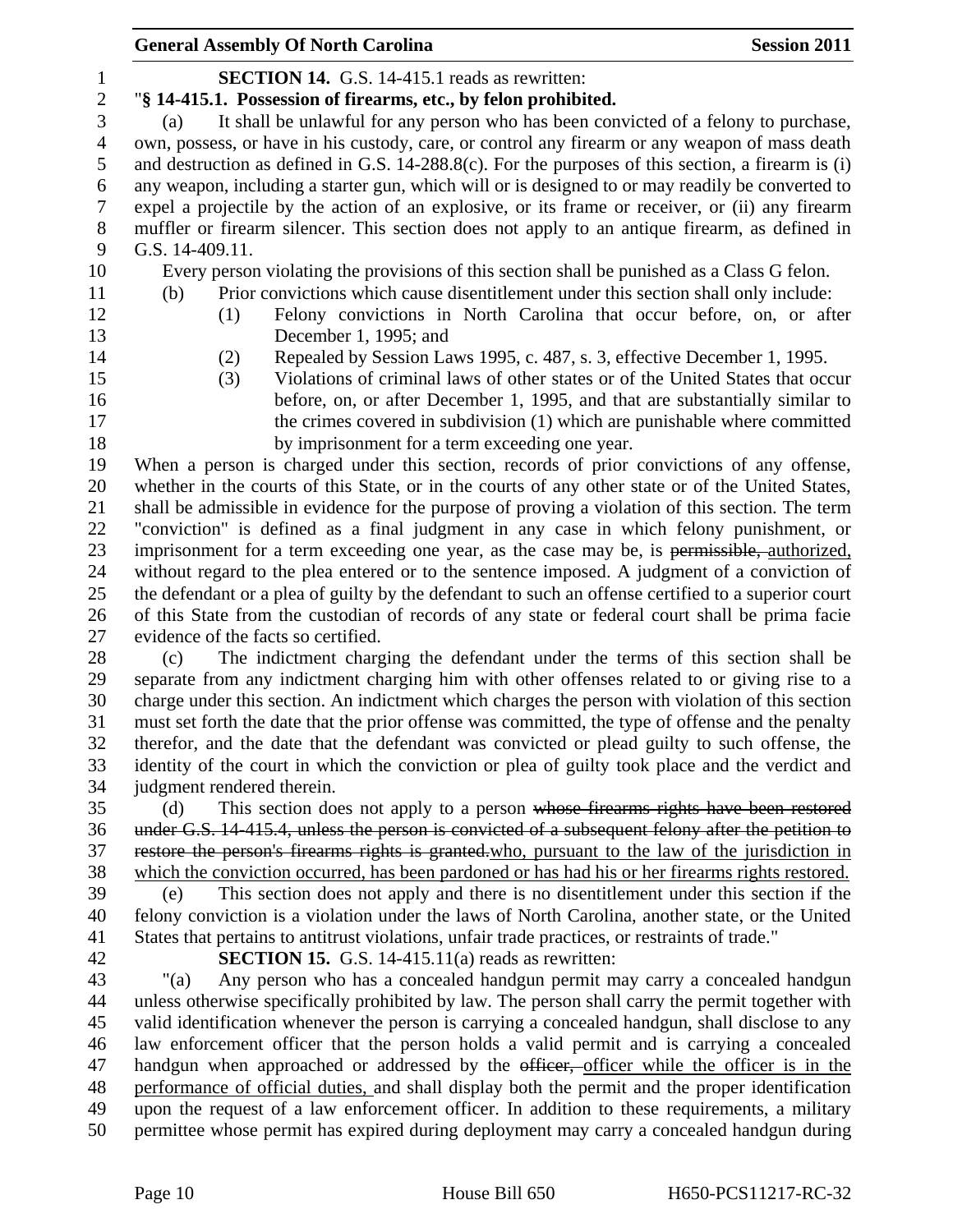| <b>General Assembly Of North Carolina</b>                                                                                                                                                   | <b>Session 2011</b> |
|---------------------------------------------------------------------------------------------------------------------------------------------------------------------------------------------|---------------------|
| <b>SECTION 14.</b> G.S. 14-415.1 reads as rewritten:                                                                                                                                        |                     |
| "§ 14-415.1. Possession of firearms, etc., by felon prohibited.                                                                                                                             |                     |
| It shall be unlawful for any person who has been convicted of a felony to purchase,<br>(a)                                                                                                  |                     |
| own, possess, or have in his custody, care, or control any firearm or any weapon of mass death                                                                                              |                     |
| and destruction as defined in G.S. 14-288.8(c). For the purposes of this section, a firearm is (i)                                                                                          |                     |
| any weapon, including a starter gun, which will or is designed to or may readily be converted to                                                                                            |                     |
| expel a projectile by the action of an explosive, or its frame or receiver, or (ii) any firearm                                                                                             |                     |
| muffler or firearm silencer. This section does not apply to an antique firearm, as defined in                                                                                               |                     |
| G.S. 14-409.11.                                                                                                                                                                             |                     |
| Every person violating the provisions of this section shall be punished as a Class G felon.                                                                                                 |                     |
| Prior convictions which cause disentitlement under this section shall only include:<br>(b)                                                                                                  |                     |
| Felony convictions in North Carolina that occur before, on, or after<br>(1)                                                                                                                 |                     |
| December 1, 1995; and                                                                                                                                                                       |                     |
| Repealed by Session Laws 1995, c. 487, s. 3, effective December 1, 1995.<br>(2)                                                                                                             |                     |
| Violations of criminal laws of other states or of the United States that occur<br>(3)                                                                                                       |                     |
| before, on, or after December 1, 1995, and that are substantially similar to                                                                                                                |                     |
| the crimes covered in subdivision (1) which are punishable where committed                                                                                                                  |                     |
| by imprisonment for a term exceeding one year.                                                                                                                                              |                     |
| When a person is charged under this section, records of prior convictions of any offense,                                                                                                   |                     |
| whether in the courts of this State, or in the courts of any other state or of the United States,                                                                                           |                     |
| shall be admissible in evidence for the purpose of proving a violation of this section. The term                                                                                            |                     |
| "conviction" is defined as a final judgment in any case in which felony punishment, or                                                                                                      |                     |
| imprisonment for a term exceeding one year, as the case may be, is permissible, authorized,<br>without regard to the plea entered or to the sentence imposed. A judgment of a conviction of |                     |
| the defendant or a plea of guilty by the defendant to such an offense certified to a superior court                                                                                         |                     |
| of this State from the custodian of records of any state or federal court shall be prima facie                                                                                              |                     |
| evidence of the facts so certified.                                                                                                                                                         |                     |
| The indictment charging the defendant under the terms of this section shall be<br>(c)                                                                                                       |                     |
| separate from any indictment charging him with other offenses related to or giving rise to a                                                                                                |                     |
| charge under this section. An indictment which charges the person with violation of this section                                                                                            |                     |
| must set forth the date that the prior offense was committed, the type of offense and the penalty                                                                                           |                     |
| therefor, and the date that the defendant was convicted or plead guilty to such offense, the                                                                                                |                     |
| identity of the court in which the conviction or plea of guilty took place and the verdict and                                                                                              |                     |
| judgment rendered therein.                                                                                                                                                                  |                     |
| This section does not apply to a person whose firearms rights have been restored<br>(d)                                                                                                     |                     |
| under G.S. 14-415.4, unless the person is convicted of a subsequent felony after the petition to                                                                                            |                     |
| restore the person's firearms rights is granted who, pursuant to the law of the jurisdiction in                                                                                             |                     |
| which the conviction occurred, has been pardoned or has had his or her firearms rights restored.                                                                                            |                     |
| This section does not apply and there is no disentitlement under this section if the<br>(e)                                                                                                 |                     |
| felony conviction is a violation under the laws of North Carolina, another state, or the United                                                                                             |                     |
| States that pertains to antitrust violations, unfair trade practices, or restraints of trade."                                                                                              |                     |
| <b>SECTION 15.</b> G.S. 14-415.11(a) reads as rewritten:                                                                                                                                    |                     |
| Any person who has a concealed handgun permit may carry a concealed handgun<br>"(a)                                                                                                         |                     |
| unless otherwise specifically prohibited by law. The person shall carry the permit together with                                                                                            |                     |

 unless otherwise specifically prohibited by law. The person shall carry the permit together with valid identification whenever the person is carrying a concealed handgun, shall disclose to any law enforcement officer that the person holds a valid permit and is carrying a concealed 47 handgun when approached or addressed by the officer, officer while the officer is in the performance of official duties, and shall display both the permit and the proper identification upon the request of a law enforcement officer. In addition to these requirements, a military permittee whose permit has expired during deployment may carry a concealed handgun during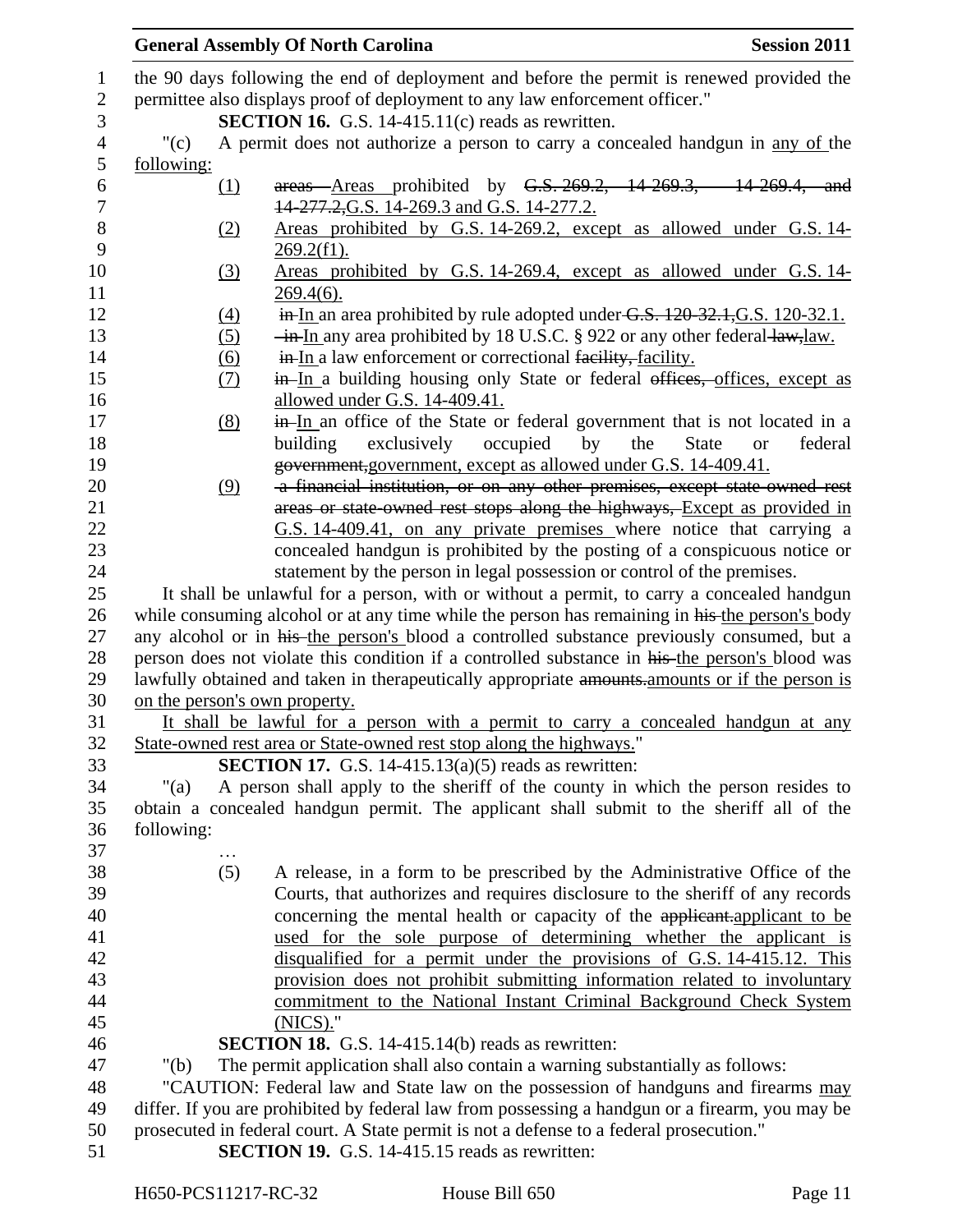|                                                                                                | <b>General Assembly Of North Carolina</b>                                                          | <b>Session 2011</b>  |  |
|------------------------------------------------------------------------------------------------|----------------------------------------------------------------------------------------------------|----------------------|--|
|                                                                                                | the 90 days following the end of deployment and before the permit is renewed provided the          |                      |  |
|                                                                                                | permittee also displays proof of deployment to any law enforcement officer."                       |                      |  |
|                                                                                                | <b>SECTION 16.</b> G.S. 14-415.11 $(c)$ reads as rewritten.                                        |                      |  |
| " $(c)$                                                                                        | A permit does not authorize a person to carry a concealed handgun in any of the                    |                      |  |
| following:                                                                                     |                                                                                                    |                      |  |
|                                                                                                | areas Areas prohibited by G.S. 269.2, 14-269.3, 14-269.4, and<br>(1)                               |                      |  |
|                                                                                                | 14-277.2, G.S. 14-269.3 and G.S. 14-277.2.                                                         |                      |  |
|                                                                                                | Areas prohibited by G.S. 14-269.2, except as allowed under G.S. 14-<br><u>(2)</u><br>$269.2(f1)$ . |                      |  |
|                                                                                                | Areas prohibited by G.S. 14-269.4, except as allowed under G.S. 14-<br>(3)<br>$269.4(6)$ .         |                      |  |
|                                                                                                | in-In an area prohibited by rule adopted under G.S. 120-32.1, G.S. 120-32.1.<br><u>(4)</u>         |                      |  |
|                                                                                                | -in-In any area prohibited by 18 U.S.C. § 922 or any other federal law, law.<br>(5)                |                      |  |
|                                                                                                | in In a law enforcement or correctional facility, facility.<br>$\underline{(6)}$                   |                      |  |
|                                                                                                | in-In a building housing only State or federal offices, offices, except as<br>(7)                  |                      |  |
|                                                                                                | allowed under G.S. 14-409.41.                                                                      |                      |  |
|                                                                                                | in-In an office of the State or federal government that is not located in a<br>(8)                 |                      |  |
|                                                                                                | building<br>exclusively<br>by<br>occupied<br>the<br><b>State</b>                                   | federal<br><b>or</b> |  |
|                                                                                                | government, government, except as allowed under G.S. 14-409.41.                                    |                      |  |
|                                                                                                | a financial institution, or on any other premises, except state-owned rest<br>(9)                  |                      |  |
|                                                                                                | areas or state-owned rest stops along the highways, Except as provided in                          |                      |  |
|                                                                                                | G.S. 14-409.41, on any private premises where notice that carrying a                               |                      |  |
|                                                                                                | concealed handgun is prohibited by the posting of a conspicuous notice or                          |                      |  |
|                                                                                                | statement by the person in legal possession or control of the premises.                            |                      |  |
|                                                                                                | It shall be unlawful for a person, with or without a permit, to carry a concealed handgun          |                      |  |
|                                                                                                | while consuming alcohol or at any time while the person has remaining in his the person's body     |                      |  |
|                                                                                                | any alcohol or in his-the person's blood a controlled substance previously consumed, but a         |                      |  |
| person does not violate this condition if a controlled substance in his-the person's blood was |                                                                                                    |                      |  |
|                                                                                                | lawfully obtained and taken in therapeutically appropriate amounts amounts or if the person is     |                      |  |
|                                                                                                | on the person's own property.                                                                      |                      |  |
|                                                                                                | It shall be lawful for a person with a permit to carry a concealed handgun at any                  |                      |  |
|                                                                                                | State-owned rest area or State-owned rest stop along the highways."                                |                      |  |
|                                                                                                | <b>SECTION 17.</b> G.S. 14-415.13(a)(5) reads as rewritten:                                        |                      |  |
| " $(a)$                                                                                        | A person shall apply to the sheriff of the county in which the person resides to                   |                      |  |
|                                                                                                | obtain a concealed handgun permit. The applicant shall submit to the sheriff all of the            |                      |  |
| following:                                                                                     |                                                                                                    |                      |  |
|                                                                                                |                                                                                                    |                      |  |
|                                                                                                | (5)<br>A release, in a form to be prescribed by the Administrative Office of the                   |                      |  |
|                                                                                                | Courts, that authorizes and requires disclosure to the sheriff of any records                      |                      |  |
|                                                                                                | concerning the mental health or capacity of the applicant.applicant to be                          |                      |  |
|                                                                                                | used for the sole purpose of determining whether the applicant is                                  |                      |  |
|                                                                                                | disqualified for a permit under the provisions of G.S. 14-415.12. This                             |                      |  |
|                                                                                                | provision does not prohibit submitting information related to involuntary                          |                      |  |
|                                                                                                | commitment to the National Instant Criminal Background Check System                                |                      |  |
|                                                                                                | $(NICS).$ "                                                                                        |                      |  |
|                                                                                                | <b>SECTION 18.</b> G.S. 14-415.14(b) reads as rewritten:                                           |                      |  |
| " $(b)$                                                                                        | The permit application shall also contain a warning substantially as follows:                      |                      |  |
|                                                                                                | "CAUTION: Federal law and State law on the possession of handguns and firearms may                 |                      |  |
|                                                                                                | differ. If you are prohibited by federal law from possessing a handgun or a firearm, you may be    |                      |  |
|                                                                                                | prosecuted in federal court. A State permit is not a defense to a federal prosecution."            |                      |  |
|                                                                                                | <b>SECTION 19.</b> G.S. 14-415.15 reads as rewritten:                                              |                      |  |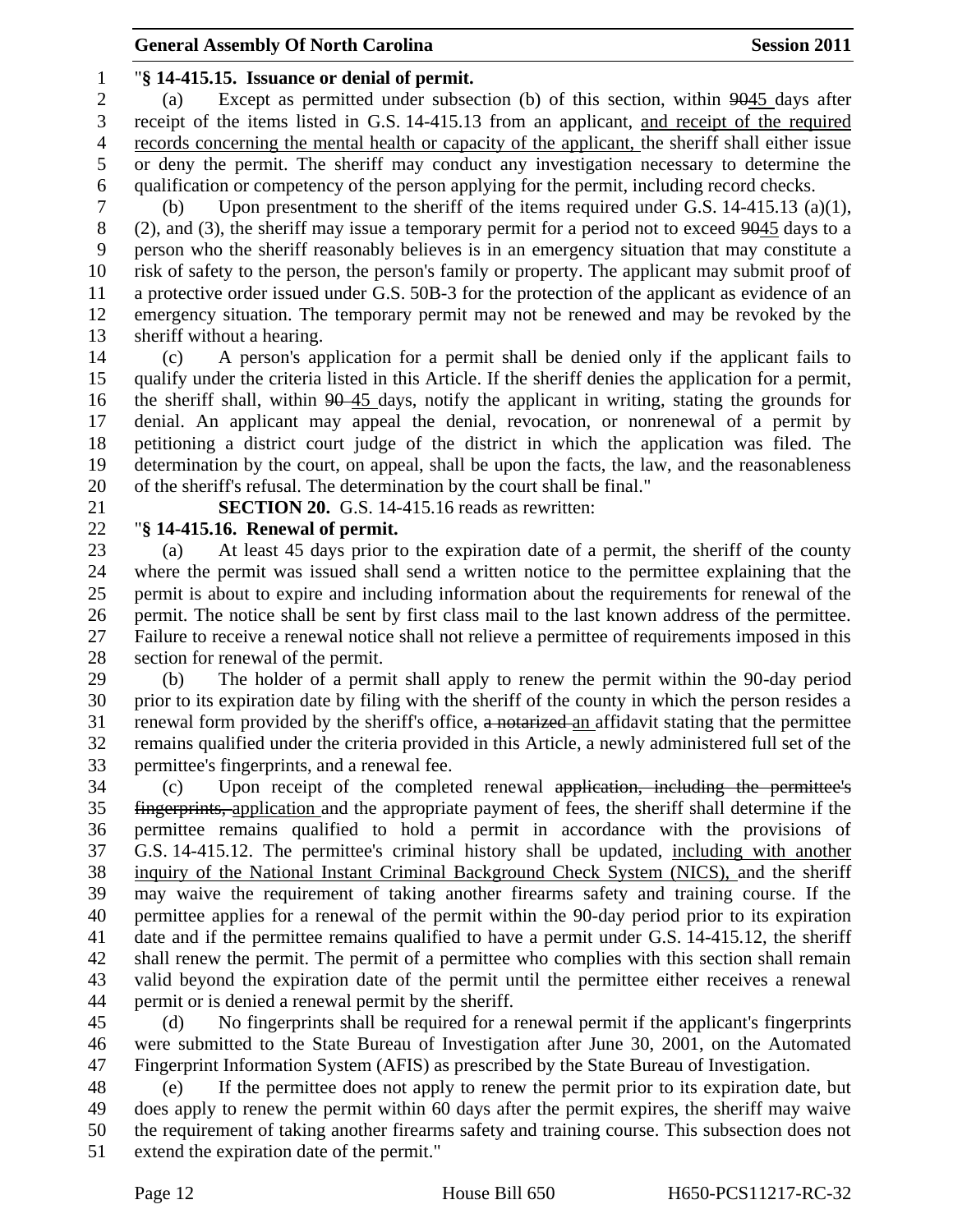## "**§ 14-415.15. Issuance or denial of permit.**

 (a) Except as permitted under subsection (b) of this section, within 9045 days after receipt of the items listed in G.S. 14-415.13 from an applicant, and receipt of the required 4 records concerning the mental health or capacity of the applicant, the sheriff shall either issue or deny the permit. The sheriff may conduct any investigation necessary to determine the qualification or competency of the person applying for the permit, including record checks.

 (b) Upon presentment to the sheriff of the items required under G.S. 14-415.13 (a)(1), (2), and (3), the sheriff may issue a temporary permit for a period not to exceed 9045 days to a person who the sheriff reasonably believes is in an emergency situation that may constitute a risk of safety to the person, the person's family or property. The applicant may submit proof of a protective order issued under G.S. 50B-3 for the protection of the applicant as evidence of an emergency situation. The temporary permit may not be renewed and may be revoked by the sheriff without a hearing.

 (c) A person's application for a permit shall be denied only if the applicant fails to qualify under the criteria listed in this Article. If the sheriff denies the application for a permit, the sheriff shall, within 90 45 days, notify the applicant in writing, stating the grounds for denial. An applicant may appeal the denial, revocation, or nonrenewal of a permit by petitioning a district court judge of the district in which the application was filed. The determination by the court, on appeal, shall be upon the facts, the law, and the reasonableness of the sheriff's refusal. The determination by the court shall be final."

**SECTION 20.** G.S. 14-415.16 reads as rewritten:

## "**§ 14-415.16. Renewal of permit.**

 (a) At least 45 days prior to the expiration date of a permit, the sheriff of the county where the permit was issued shall send a written notice to the permittee explaining that the permit is about to expire and including information about the requirements for renewal of the permit. The notice shall be sent by first class mail to the last known address of the permittee. Failure to receive a renewal notice shall not relieve a permittee of requirements imposed in this section for renewal of the permit.

 (b) The holder of a permit shall apply to renew the permit within the 90-day period prior to its expiration date by filing with the sheriff of the county in which the person resides a 31 renewal form provided by the sheriff's office,  $\theta$  notarized an affidavit stating that the permittee remains qualified under the criteria provided in this Article, a newly administered full set of the permittee's fingerprints, and a renewal fee.

 (c) Upon receipt of the completed renewal application, including the permittee's fingerprints, application and the appropriate payment of fees, the sheriff shall determine if the permittee remains qualified to hold a permit in accordance with the provisions of G.S. 14-415.12. The permittee's criminal history shall be updated, including with another inquiry of the National Instant Criminal Background Check System (NICS), and the sheriff may waive the requirement of taking another firearms safety and training course. If the permittee applies for a renewal of the permit within the 90-day period prior to its expiration date and if the permittee remains qualified to have a permit under G.S. 14-415.12, the sheriff shall renew the permit. The permit of a permittee who complies with this section shall remain valid beyond the expiration date of the permit until the permittee either receives a renewal permit or is denied a renewal permit by the sheriff.

 (d) No fingerprints shall be required for a renewal permit if the applicant's fingerprints were submitted to the State Bureau of Investigation after June 30, 2001, on the Automated Fingerprint Information System (AFIS) as prescribed by the State Bureau of Investigation.

 (e) If the permittee does not apply to renew the permit prior to its expiration date, but does apply to renew the permit within 60 days after the permit expires, the sheriff may waive the requirement of taking another firearms safety and training course. This subsection does not extend the expiration date of the permit."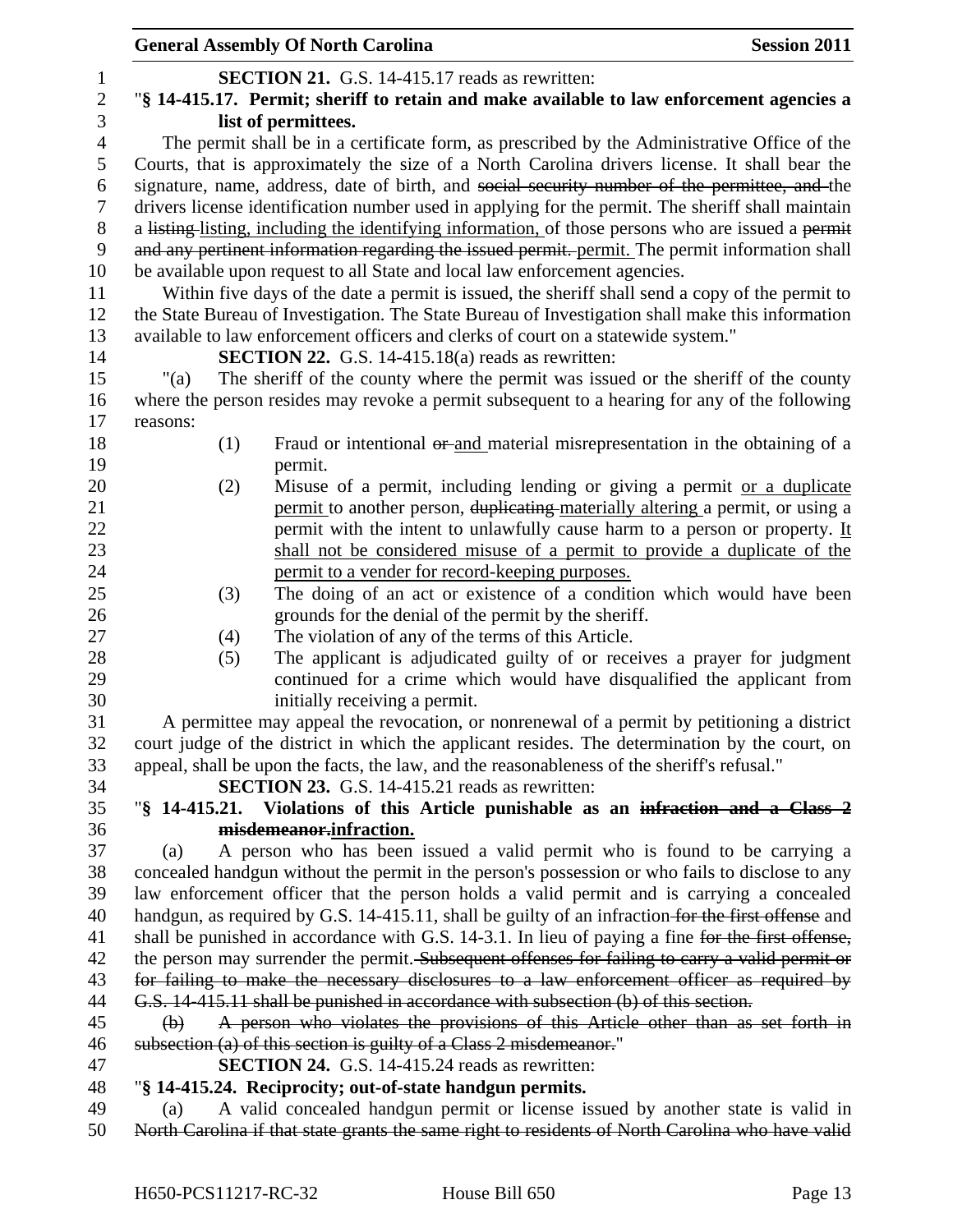|                | <b>General Assembly Of North Carolina</b>                                                | <b>Session 2011</b>                                                                                                                                                                         |  |  |  |
|----------------|------------------------------------------------------------------------------------------|---------------------------------------------------------------------------------------------------------------------------------------------------------------------------------------------|--|--|--|
| $\mathbf{1}$   |                                                                                          | <b>SECTION 21.</b> G.S. 14-415.17 reads as rewritten:                                                                                                                                       |  |  |  |
| $\overline{c}$ | "§ 14-415.17. Permit; sheriff to retain and make available to law enforcement agencies a |                                                                                                                                                                                             |  |  |  |
| 3              | list of permittees.                                                                      |                                                                                                                                                                                             |  |  |  |
| $\overline{4}$ |                                                                                          | The permit shall be in a certificate form, as prescribed by the Administrative Office of the                                                                                                |  |  |  |
| 5              |                                                                                          | Courts, that is approximately the size of a North Carolina drivers license. It shall bear the                                                                                               |  |  |  |
| 6              |                                                                                          | signature, name, address, date of birth, and social security number of the permittee, and the                                                                                               |  |  |  |
| $\tau$         |                                                                                          | drivers license identification number used in applying for the permit. The sheriff shall maintain                                                                                           |  |  |  |
| $8\,$          |                                                                                          | a listing listing, including the identifying information, of those persons who are issued a permit                                                                                          |  |  |  |
| 9              |                                                                                          | and any pertinent information regarding the issued permit. permit. The permit information shall                                                                                             |  |  |  |
| 10             |                                                                                          | be available upon request to all State and local law enforcement agencies.                                                                                                                  |  |  |  |
| 11             |                                                                                          | Within five days of the date a permit is issued, the sheriff shall send a copy of the permit to                                                                                             |  |  |  |
| 12             |                                                                                          | the State Bureau of Investigation. The State Bureau of Investigation shall make this information                                                                                            |  |  |  |
| 13             |                                                                                          | available to law enforcement officers and clerks of court on a statewide system."                                                                                                           |  |  |  |
| 14             |                                                                                          | <b>SECTION 22.</b> G.S. 14-415.18(a) reads as rewritten:                                                                                                                                    |  |  |  |
| 15             | " $(a)$                                                                                  | The sheriff of the county where the permit was issued or the sheriff of the county                                                                                                          |  |  |  |
| 16             |                                                                                          | where the person resides may revoke a permit subsequent to a hearing for any of the following                                                                                               |  |  |  |
| 17             | reasons:                                                                                 |                                                                                                                                                                                             |  |  |  |
| 18             | (1)                                                                                      | Fraud or intentional or and material misrepresentation in the obtaining of a                                                                                                                |  |  |  |
| 19<br>20       | permit.                                                                                  | Misuse of a permit, including lending or giving a permit or a duplicate                                                                                                                     |  |  |  |
| 21             | (2)                                                                                      | permit to another person, duplicating materially altering a permit, or using a                                                                                                              |  |  |  |
| 22             |                                                                                          | permit with the intent to unlawfully cause harm to a person or property. It                                                                                                                 |  |  |  |
| 23             |                                                                                          | shall not be considered misuse of a permit to provide a duplicate of the                                                                                                                    |  |  |  |
| 24             |                                                                                          | permit to a vender for record-keeping purposes.                                                                                                                                             |  |  |  |
| 25             | (3)                                                                                      | The doing of an act or existence of a condition which would have been                                                                                                                       |  |  |  |
| 26             |                                                                                          | grounds for the denial of the permit by the sheriff.                                                                                                                                        |  |  |  |
| 27             | (4)                                                                                      | The violation of any of the terms of this Article.                                                                                                                                          |  |  |  |
| 28             | (5)                                                                                      | The applicant is adjudicated guilty of or receives a prayer for judgment                                                                                                                    |  |  |  |
| 29             |                                                                                          | continued for a crime which would have disqualified the applicant from                                                                                                                      |  |  |  |
| 30             | initially receiving a permit.                                                            |                                                                                                                                                                                             |  |  |  |
| 31             |                                                                                          | A permittee may appeal the revocation, or nonrenewal of a permit by petitioning a district                                                                                                  |  |  |  |
| 32             |                                                                                          | court judge of the district in which the applicant resides. The determination by the court, on                                                                                              |  |  |  |
| 33             |                                                                                          | appeal, shall be upon the facts, the law, and the reasonableness of the sheriff's refusal."                                                                                                 |  |  |  |
| 34             |                                                                                          | <b>SECTION 23.</b> G.S. 14-415.21 reads as rewritten:                                                                                                                                       |  |  |  |
| 35             |                                                                                          | "\\$ 14-415.21. Violations of this Article punishable as an infraction and a Class 2                                                                                                        |  |  |  |
| 36             | misdemeanor.infraction.                                                                  |                                                                                                                                                                                             |  |  |  |
| 37             | (a)                                                                                      | A person who has been issued a valid permit who is found to be carrying a                                                                                                                   |  |  |  |
| 38<br>39       |                                                                                          | concealed handgun without the permit in the person's possession or who fails to disclose to any<br>law enforcement officer that the person holds a valid permit and is carrying a concealed |  |  |  |
| 40             |                                                                                          | handgun, as required by G.S. 14-415.11, shall be guilty of an infraction for the first offense and                                                                                          |  |  |  |
| 41             |                                                                                          | shall be punished in accordance with G.S. 14-3.1. In lieu of paying a fine for the first offense,                                                                                           |  |  |  |
| 42             |                                                                                          | the person may surrender the permit. Subsequent offenses for failing to carry a valid permit or                                                                                             |  |  |  |
| 43             |                                                                                          | for failing to make the necessary disclosures to a law enforcement officer as required by                                                                                                   |  |  |  |
| 44             |                                                                                          | G.S. 14-415.11 shall be punished in accordance with subsection (b) of this section.                                                                                                         |  |  |  |
| 45             | $\Theta$                                                                                 | A person who violates the provisions of this Article other than as set forth in                                                                                                             |  |  |  |
| 46             | subsection (a) of this section is guilty of a Class 2 misdemeanor."                      |                                                                                                                                                                                             |  |  |  |
| 47             |                                                                                          | <b>SECTION 24.</b> G.S. 14-415.24 reads as rewritten:                                                                                                                                       |  |  |  |
| 48             | "§ 14-415.24. Reciprocity; out-of-state handgun permits.                                 |                                                                                                                                                                                             |  |  |  |
| 49             | (a)                                                                                      | A valid concealed handgun permit or license issued by another state is valid in                                                                                                             |  |  |  |
| 50             |                                                                                          | North Carolina if that state grants the same right to residents of North Carolina who have valid                                                                                            |  |  |  |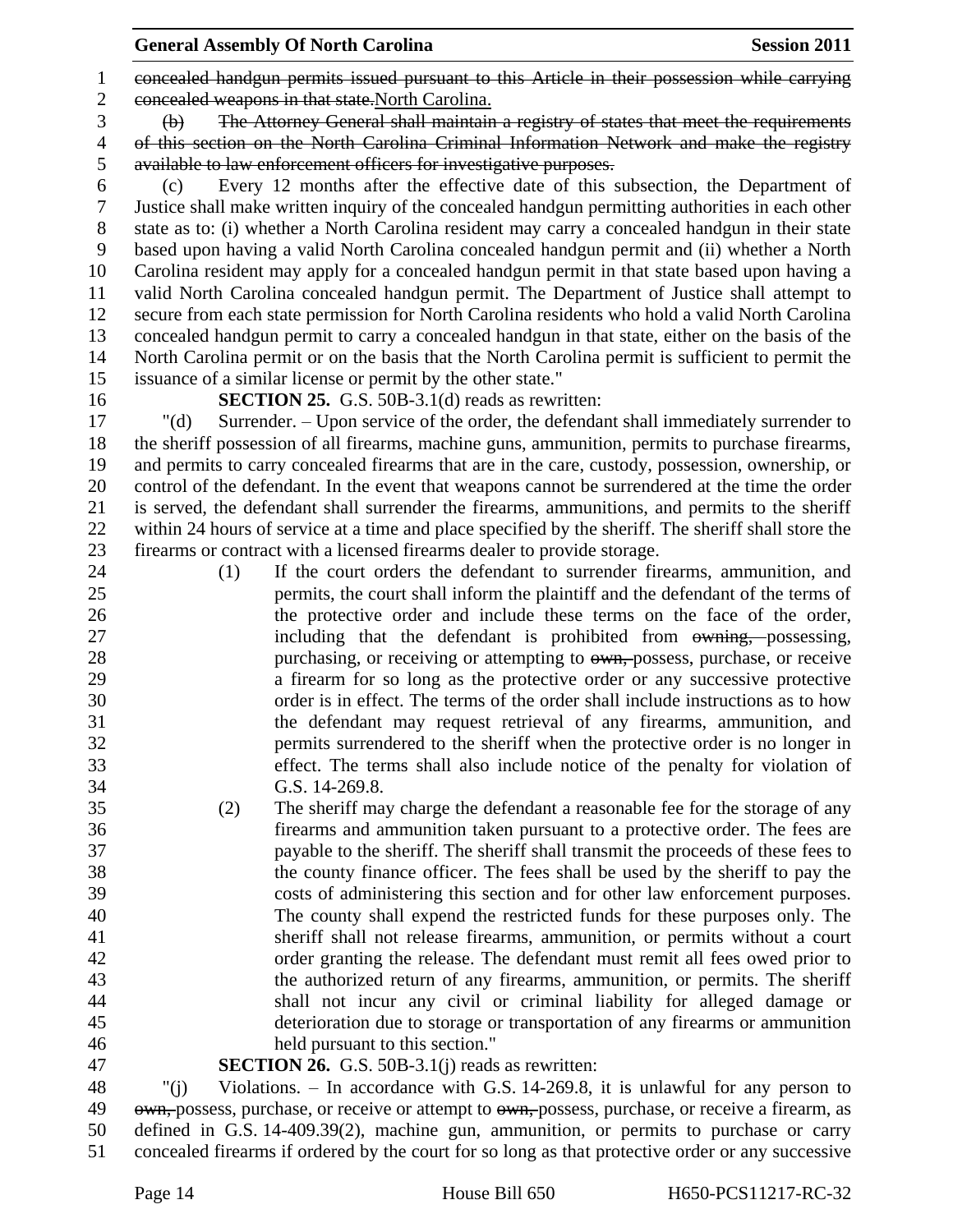concealed handgun permits issued pursuant to this Article in their possession while carrying concealed weapons in that state.North Carolina.

 (b) The Attorney General shall maintain a registry of states that meet the requirements of this section on the North Carolina Criminal Information Network and make the registry available to law enforcement officers for investigative purposes.

 (c) Every 12 months after the effective date of this subsection, the Department of Justice shall make written inquiry of the concealed handgun permitting authorities in each other state as to: (i) whether a North Carolina resident may carry a concealed handgun in their state based upon having a valid North Carolina concealed handgun permit and (ii) whether a North Carolina resident may apply for a concealed handgun permit in that state based upon having a valid North Carolina concealed handgun permit. The Department of Justice shall attempt to secure from each state permission for North Carolina residents who hold a valid North Carolina concealed handgun permit to carry a concealed handgun in that state, either on the basis of the North Carolina permit or on the basis that the North Carolina permit is sufficient to permit the issuance of a similar license or permit by the other state."

**SECTION 25.** G.S. 50B-3.1(d) reads as rewritten:

 "(d) Surrender. – Upon service of the order, the defendant shall immediately surrender to the sheriff possession of all firearms, machine guns, ammunition, permits to purchase firearms, and permits to carry concealed firearms that are in the care, custody, possession, ownership, or control of the defendant. In the event that weapons cannot be surrendered at the time the order is served, the defendant shall surrender the firearms, ammunitions, and permits to the sheriff within 24 hours of service at a time and place specified by the sheriff. The sheriff shall store the firearms or contract with a licensed firearms dealer to provide storage.

- (1) If the court orders the defendant to surrender firearms, ammunition, and permits, the court shall inform the plaintiff and the defendant of the terms of the protective order and include these terms on the face of the order, 27 including that the defendant is prohibited from owning, possessing, 28 purchasing, or receiving or attempting to  $\overline{\text{ewn}}$ , possess, purchase, or receive a firearm for so long as the protective order or any successive protective order is in effect. The terms of the order shall include instructions as to how the defendant may request retrieval of any firearms, ammunition, and permits surrendered to the sheriff when the protective order is no longer in effect. The terms shall also include notice of the penalty for violation of G.S. 14-269.8.
- (2) The sheriff may charge the defendant a reasonable fee for the storage of any firearms and ammunition taken pursuant to a protective order. The fees are payable to the sheriff. The sheriff shall transmit the proceeds of these fees to the county finance officer. The fees shall be used by the sheriff to pay the costs of administering this section and for other law enforcement purposes. The county shall expend the restricted funds for these purposes only. The sheriff shall not release firearms, ammunition, or permits without a court order granting the release. The defendant must remit all fees owed prior to the authorized return of any firearms, ammunition, or permits. The sheriff shall not incur any civil or criminal liability for alleged damage or deterioration due to storage or transportation of any firearms or ammunition held pursuant to this section."
- 

**SECTION 26.** G.S. 50B-3.1(j) reads as rewritten:

 "(j) Violations. – In accordance with G.S. 14-269.8, it is unlawful for any person to 49 own, possess, purchase, or receive or attempt to own, possess, purchase, or receive a firearm, as defined in G.S. 14-409.39(2), machine gun, ammunition, or permits to purchase or carry concealed firearms if ordered by the court for so long as that protective order or any successive